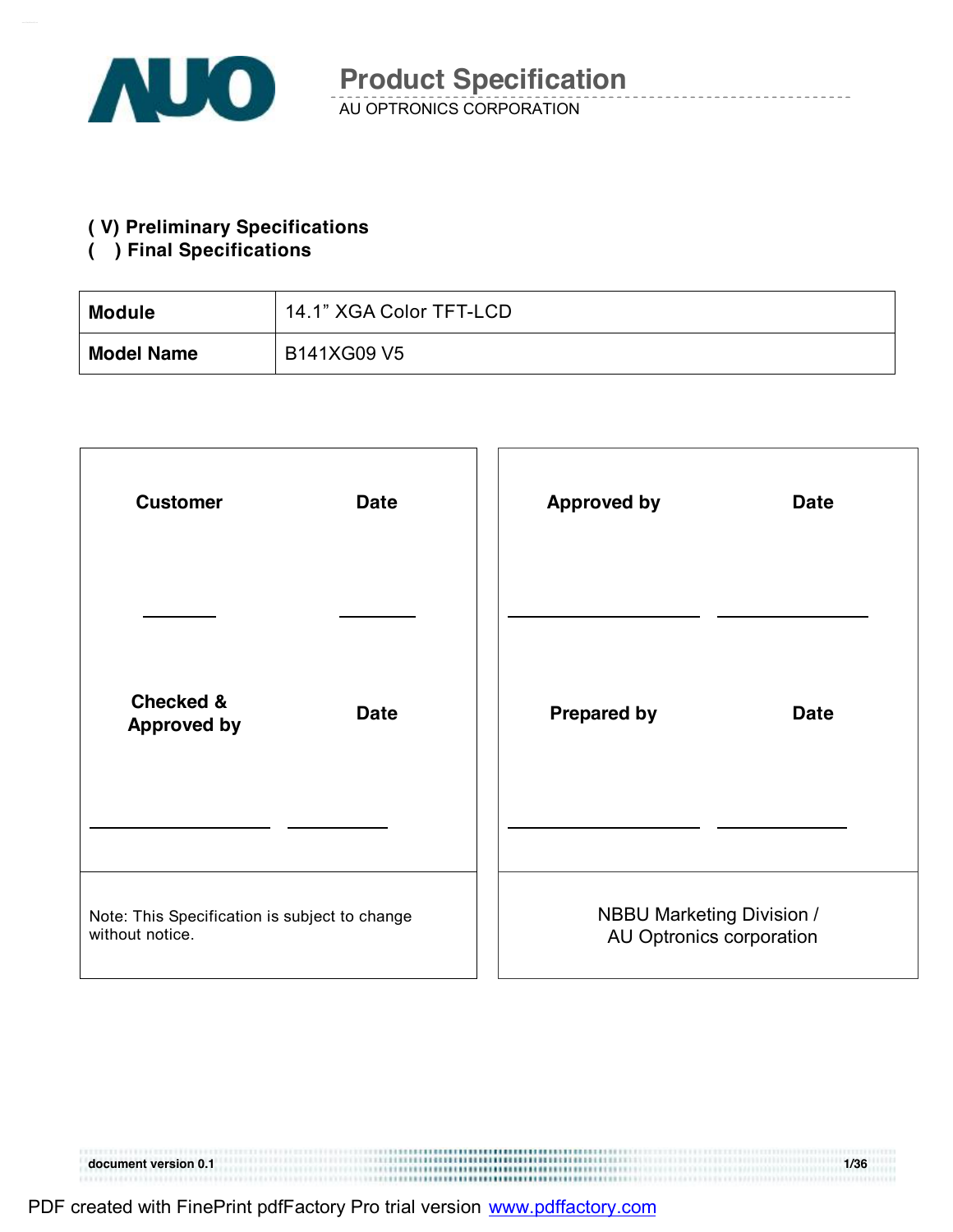

AU OPTRONICS CORPORATION

### **( V) Preliminary Specifications**

### **( ) Final Specifications**

| <b>Module</b>     | 14.1" XGA Color TFT-LCD |
|-------------------|-------------------------|
| <b>Model Name</b> | B141XG09 V5             |

| <b>Customer</b>                                                  | <b>Date</b> | <b>Approved by</b> | <b>Date</b>                                                  |
|------------------------------------------------------------------|-------------|--------------------|--------------------------------------------------------------|
|                                                                  |             |                    |                                                              |
| <b>Checked &amp;</b><br><b>Approved by</b>                       | <b>Date</b> | <b>Prepared by</b> | <b>Date</b>                                                  |
|                                                                  |             |                    |                                                              |
| Note: This Specification is subject to change<br>without notice. |             |                    | <b>NBBU Marketing Division /</b><br>AU Optronics corporation |

**document version 0.1 1/36 1/36** 

| PDF created with FinePrint pdfFactory Pro trial version www.pdffactory.com |  |
|----------------------------------------------------------------------------|--|
|                                                                            |  |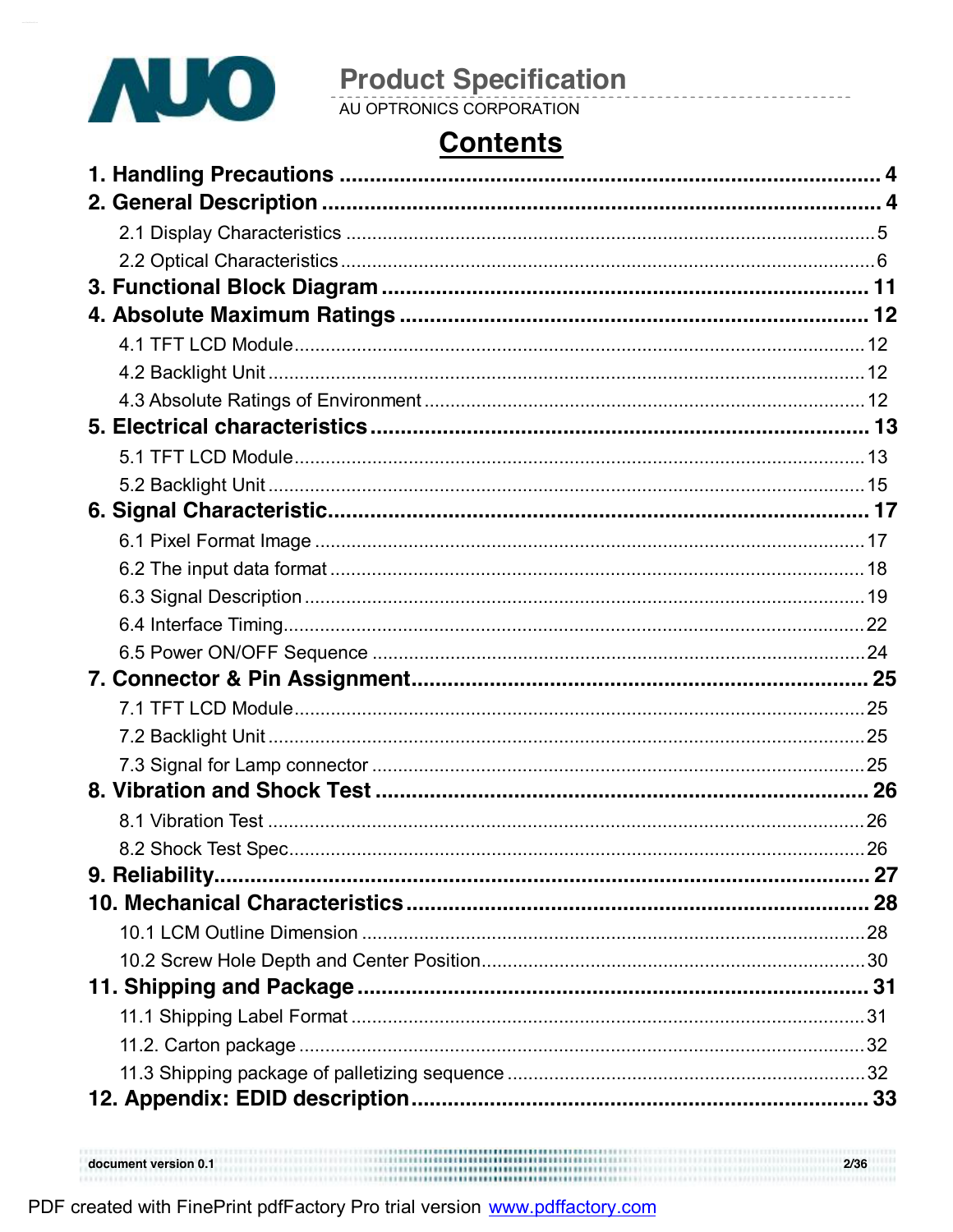

# **Contents**

,,,,,,,,,,,,,,,,,,,,,,,,,,,,,,

document version 0.1

 $2/36$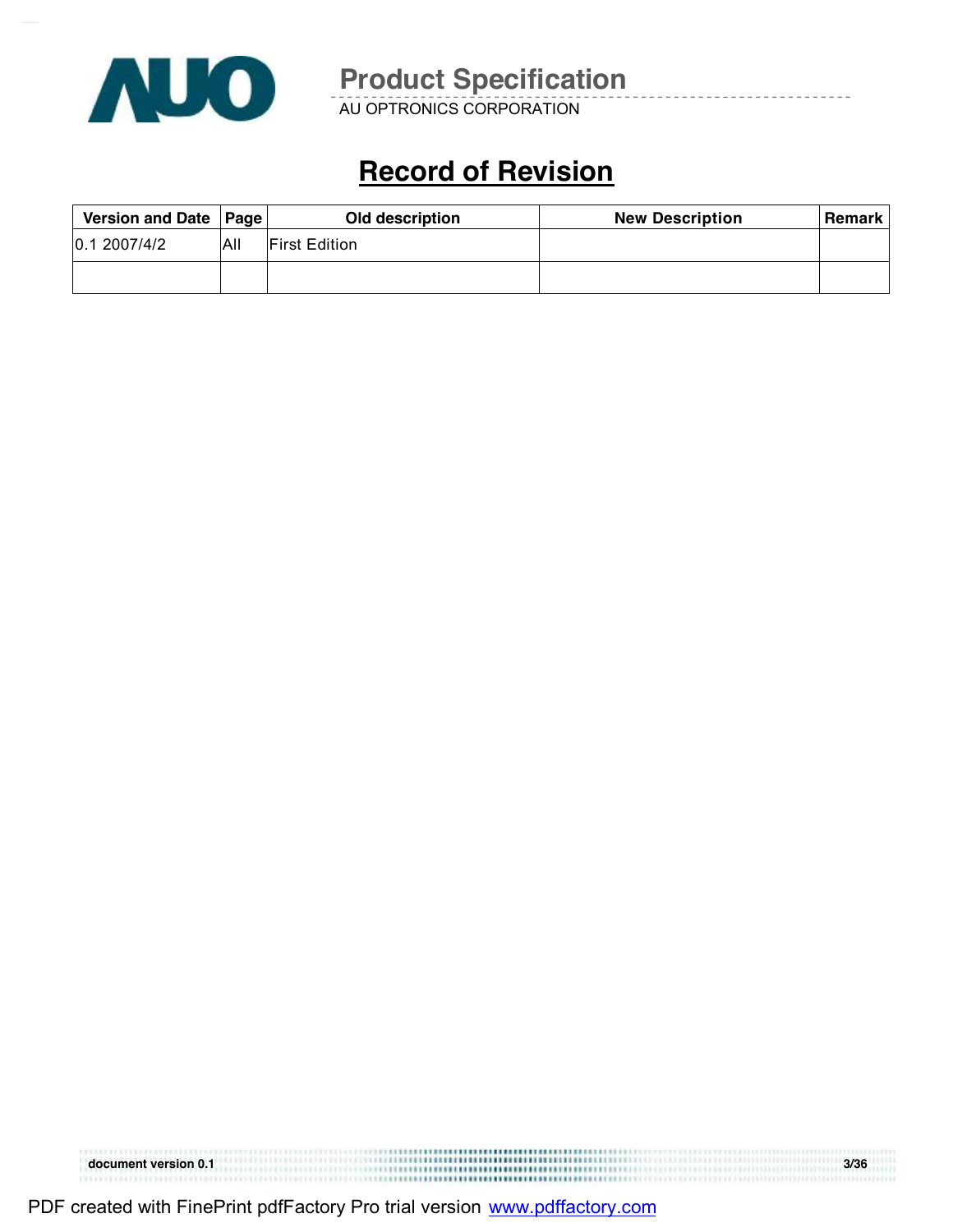

AU OPTRONICS CORPORATION

# **Record of Revision**

| Version and Date   Page |     | Old description       | <b>New Description</b> | <b>Remark</b> |
|-------------------------|-----|-----------------------|------------------------|---------------|
| 0.12007/4/2             | Ali | <b>IFirst Edition</b> |                        |               |
|                         |     |                       |                        |               |

| document version 0.1 |                                           | 3/36 |
|----------------------|-------------------------------------------|------|
|                      | ,,,,,,,,,,,,,,,,,,,,,,,,,,,,,,,,,,,,,<br> |      |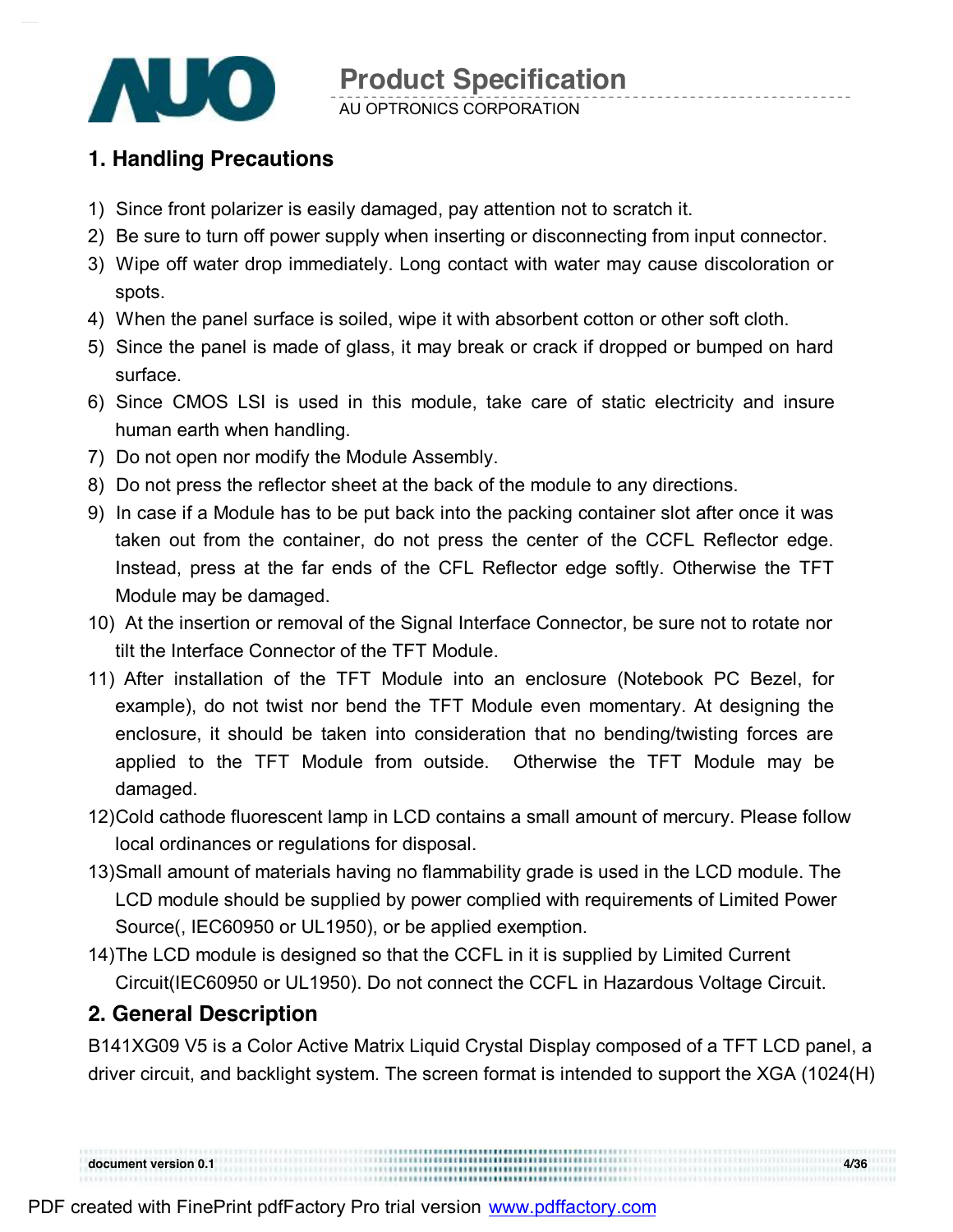

AU OPTRONICS CORPORATION

### **1. Handling Precautions**

- 1) Since front polarizer is easily damaged, pay attention not to scratch it.
- 2) Be sure to turn off power supply when inserting or disconnecting from input connector.
- 3) Wipe off water drop immediately. Long contact with water may cause discoloration or spots.
- 4) When the panel surface is soiled, wipe it with absorbent cotton or other soft cloth.
- 5) Since the panel is made of glass, it may break or crack if dropped or bumped on hard surface.
- 6) Since CMOS LSI is used in this module, take care of static electricity and insure human earth when handling.
- 7) Do not open nor modify the Module Assembly.
- 8) Do not press the reflector sheet at the back of the module to any directions.
- 9) In case if a Module has to be put back into the packing container slot after once it was taken out from the container, do not press the center of the CCFL Reflector edge. Instead, press at the far ends of the CFL Reflector edge softly. Otherwise the TFT Module may be damaged.
- 10) At the insertion or removal of the Signal Interface Connector, be sure not to rotate nor tilt the Interface Connector of the TFT Module.
- 11) After installation of the TFT Module into an enclosure (Notebook PC Bezel, for example), do not twist nor bend the TFT Module even momentary. At designing the enclosure, it should be taken into consideration that no bending/twisting forces are applied to the TFT Module from outside. Otherwise the TFT Module may be damaged.
- 12)Cold cathode fluorescent lamp in LCD contains a small amount of mercury. Please follow local ordinances or regulations for disposal.
- 13)Small amount of materials having no flammability grade is used in the LCD module. The LCD module should be supplied by power complied with requirements of Limited Power Source(, IEC60950 or UL1950), or be applied exemption.
- 14)The LCD module is designed so that the CCFL in it is supplied by Limited Current Circuit(IEC60950 or UL1950). Do not connect the CCFL in Hazardous Voltage Circuit.

### **2. General Description**

B141XG09 V5 is a Color Active Matrix Liquid Crystal Display composed of a TFT LCD panel, a driver circuit, and backlight system. The screen format is intended to support the XGA (1024(H)

**document version 0.1 4/36**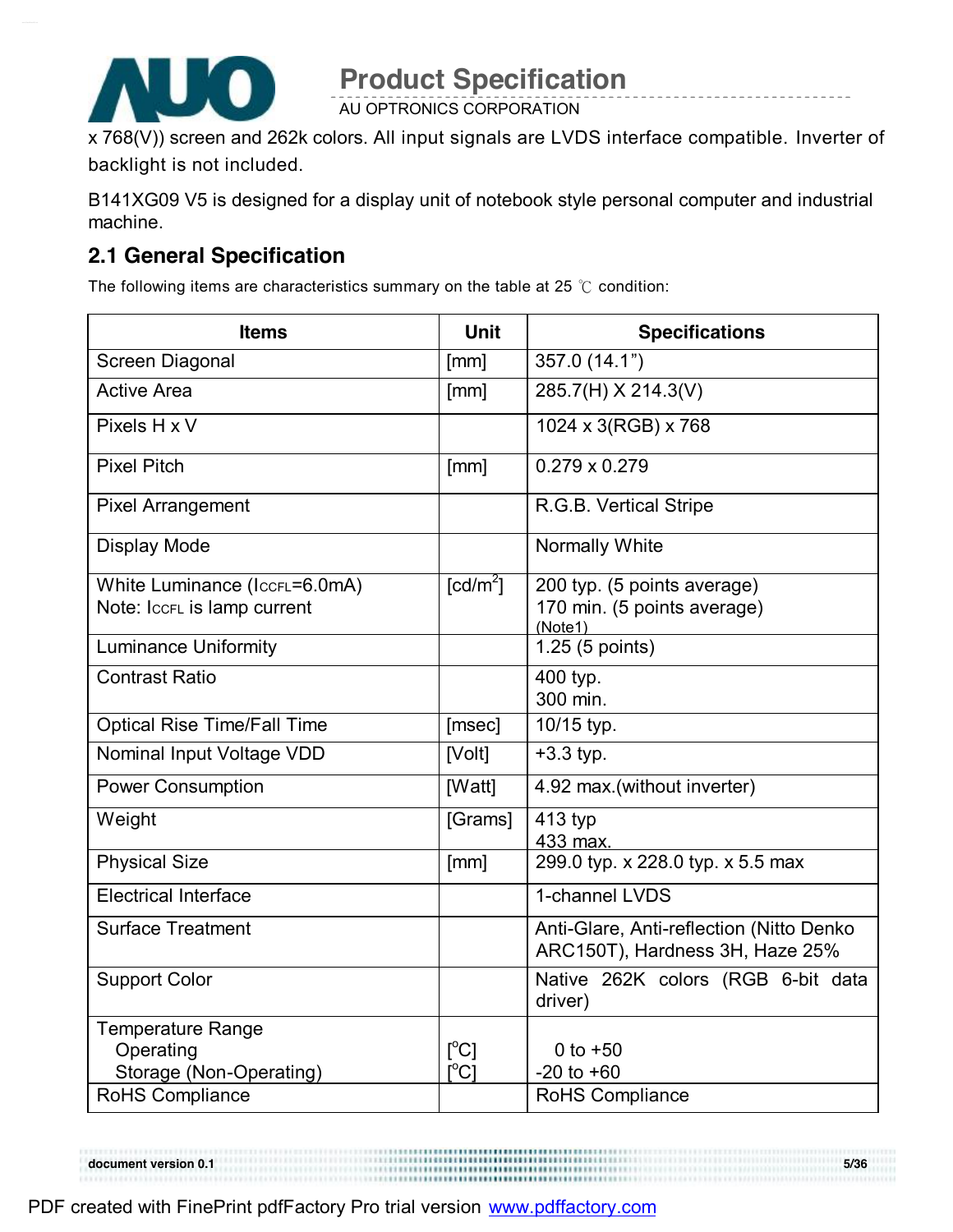

AU OPTRONICS CORPORATION

x 768(V)) screen and 262k colors. All input signals are LVDS interface compatible. Inverter of backlight is not included.

B141XG09 V5 is designed for a display unit of notebook style personal computer and industrial machine.

### **2.1 General Specification**

The following items are characteristics summary on the table at 25 ℃ condition:

| <b>Items</b>                                                     | <b>Unit</b>                                                              | <b>Specifications</b>                                                       |
|------------------------------------------------------------------|--------------------------------------------------------------------------|-----------------------------------------------------------------------------|
| <b>Screen Diagonal</b>                                           | [mm]                                                                     | 357.0 (14.1")                                                               |
| <b>Active Area</b>                                               | [mm]                                                                     | 285.7(H) X 214.3(V)                                                         |
| Pixels H x V                                                     |                                                                          | 1024 x 3(RGB) x 768                                                         |
| <b>Pixel Pitch</b>                                               | [mm]                                                                     | $0.279 \times 0.279$                                                        |
| <b>Pixel Arrangement</b>                                         |                                                                          | R.G.B. Vertical Stripe                                                      |
| <b>Display Mode</b>                                              |                                                                          | Normally White                                                              |
| White Luminance (IccrL=6.0mA)<br>Note: IccFL is lamp current     | $\lceil cd/m^2 \rceil$                                                   | 200 typ. (5 points average)<br>170 min. (5 points average)<br>(Note1)       |
| <b>Luminance Uniformity</b>                                      |                                                                          | 1.25 (5 points)                                                             |
| <b>Contrast Ratio</b>                                            |                                                                          | 400 typ.<br>300 min.                                                        |
| <b>Optical Rise Time/Fall Time</b>                               | [msec]                                                                   | 10/15 typ.                                                                  |
| Nominal Input Voltage VDD                                        | [Volt]                                                                   | $+3.3$ typ.                                                                 |
| <b>Power Consumption</b>                                         | [Watt]                                                                   | 4.92 max.(without inverter)                                                 |
| Weight                                                           | [Grams]                                                                  | 413 typ<br>433 max.                                                         |
| <b>Physical Size</b>                                             | [mm]                                                                     | 299.0 typ. x 228.0 typ. x 5.5 max                                           |
| <b>Electrical Interface</b>                                      |                                                                          | 1-channel LVDS                                                              |
| <b>Surface Treatment</b>                                         |                                                                          | Anti-Glare, Anti-reflection (Nitto Denko<br>ARC150T), Hardness 3H, Haze 25% |
| <b>Support Color</b>                                             |                                                                          | Native 262K colors (RGB 6-bit data<br>driver)                               |
| <b>Temperature Range</b><br>Operating<br>Storage (Non-Operating) | $\lceil{^{\circ}C}\rceil$<br>$\mathop{\rm l\mskip -3.5mu\rm C}\nolimits$ | 0 to $+50$<br>$-20$ to $+60$                                                |
| <b>RoHS Compliance</b>                                           |                                                                          | RoHS Compliance                                                             |

**document version 0.1** 5/36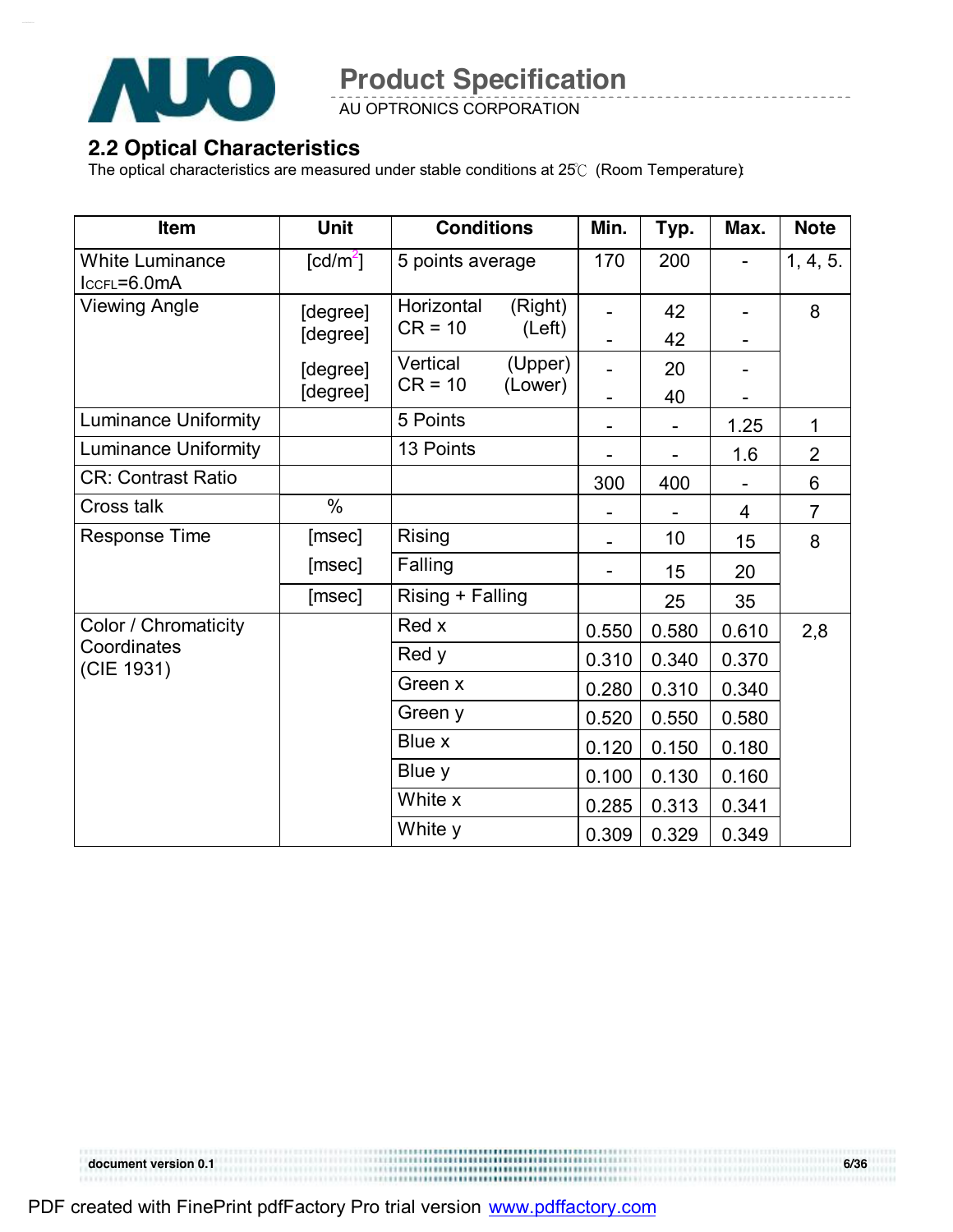

AU OPTRONICS CORPORATION

#### **2.2 Optical Characteristics**

The optical characteristics are measured under stable conditions at 25℃ (Room Temperature):

| Item                                  | Unit                           | <b>Conditions</b>     |                    | Min.  | Typ.  | Max.  | <b>Note</b>    |
|---------------------------------------|--------------------------------|-----------------------|--------------------|-------|-------|-------|----------------|
| <b>White Luminance</b><br>IccFL=6.0mA | $\lceil \frac{cd}{m^2} \rceil$ | 5 points average      |                    | 170   | 200   |       | 1, 4, 5.       |
| <b>Viewing Angle</b>                  | [degree]                       | Horizontal            | (Right)            |       | 42    |       | 8              |
|                                       | [degree]                       | $CR = 10$             | (Left)             |       | 42    |       |                |
|                                       | [degree]                       | Vertical<br>$CR = 10$ | (Upper)<br>(Lower) |       | 20    |       |                |
|                                       | [degree]                       |                       |                    |       | 40    |       |                |
| <b>Luminance Uniformity</b>           |                                | 5 Points              |                    |       |       | 1.25  | $\mathbf 1$    |
| <b>Luminance Uniformity</b>           |                                | 13 Points             |                    |       |       | 1.6   | $\overline{2}$ |
| <b>CR: Contrast Ratio</b>             |                                |                       |                    | 300   | 400   |       | 6              |
| Cross talk                            | $\%$                           |                       |                    |       |       | 4     | $\overline{7}$ |
| Response Time                         | [msec]                         | Rising                |                    |       | 10    | 15    | 8              |
|                                       | [msec]                         | Falling               |                    |       | 15    | 20    |                |
|                                       | [msec]                         | Rising + Falling      |                    |       | 25    | 35    |                |
| Color / Chromaticity                  |                                | Red x                 |                    | 0.550 | 0.580 | 0.610 | 2,8            |
| Coordinates<br>(CIE 1931)             |                                | Red y                 |                    | 0.310 | 0.340 | 0.370 |                |
|                                       |                                | Green x               |                    | 0.280 | 0.310 | 0.340 |                |
|                                       |                                | Green y               |                    | 0.520 | 0.550 | 0.580 |                |
|                                       |                                | Blue x                |                    | 0.120 | 0.150 | 0.180 |                |
|                                       |                                | Blue y                |                    | 0.100 | 0.130 | 0.160 |                |
|                                       |                                | White x               |                    | 0.285 | 0.313 | 0.341 |                |
|                                       |                                | White y               |                    | 0.309 | 0.329 | 0.349 |                |

**document version 0.1** 6/36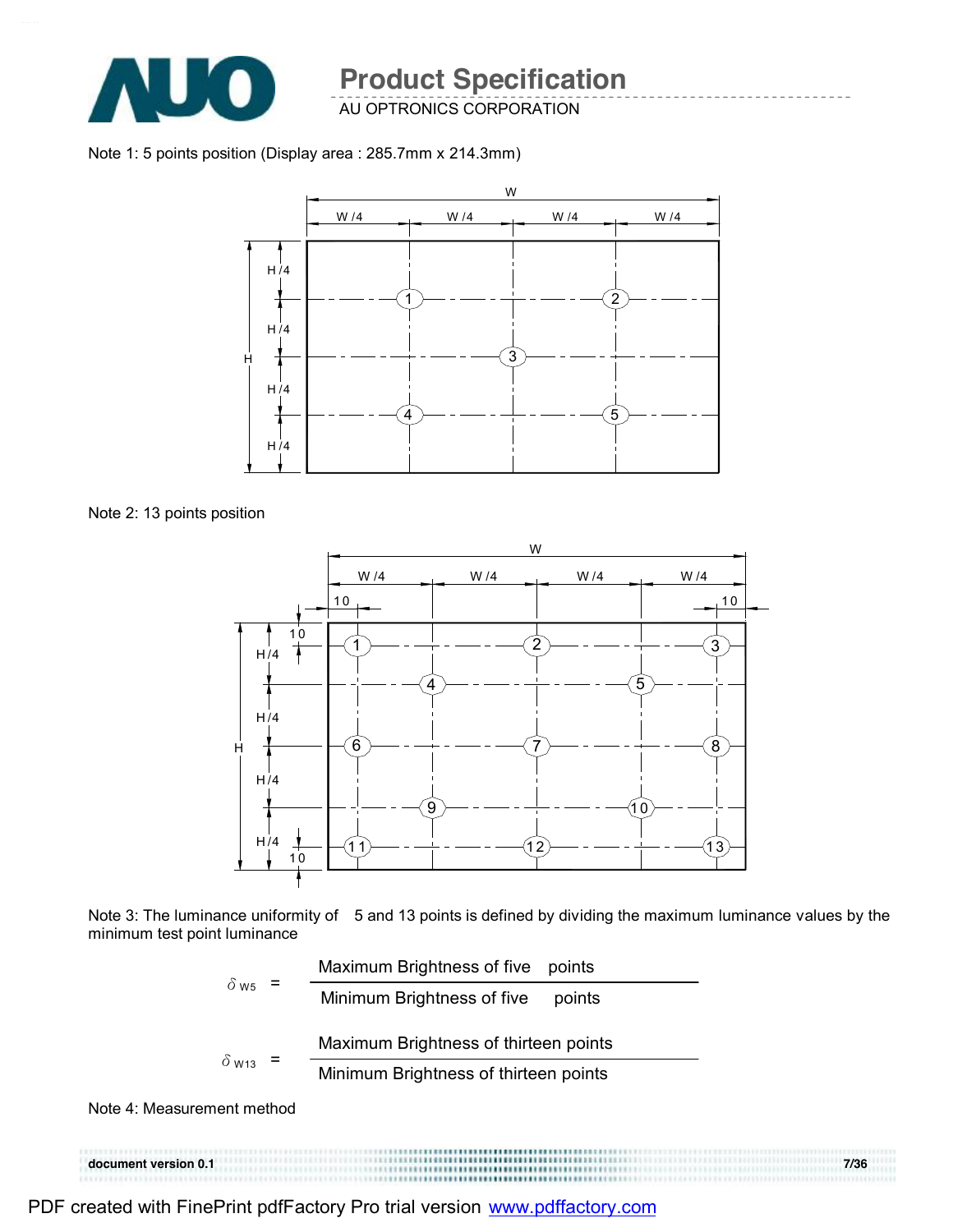

AU OPTRONICS CORPORATION

Note 1: 5 points position (Display area : 285.7mm x 214.3mm)







Note 3: The luminance uniformity of 5 and 13 points is defined by dividing the maximum luminance values by the minimum test point luminance



Note 4: Measurement method

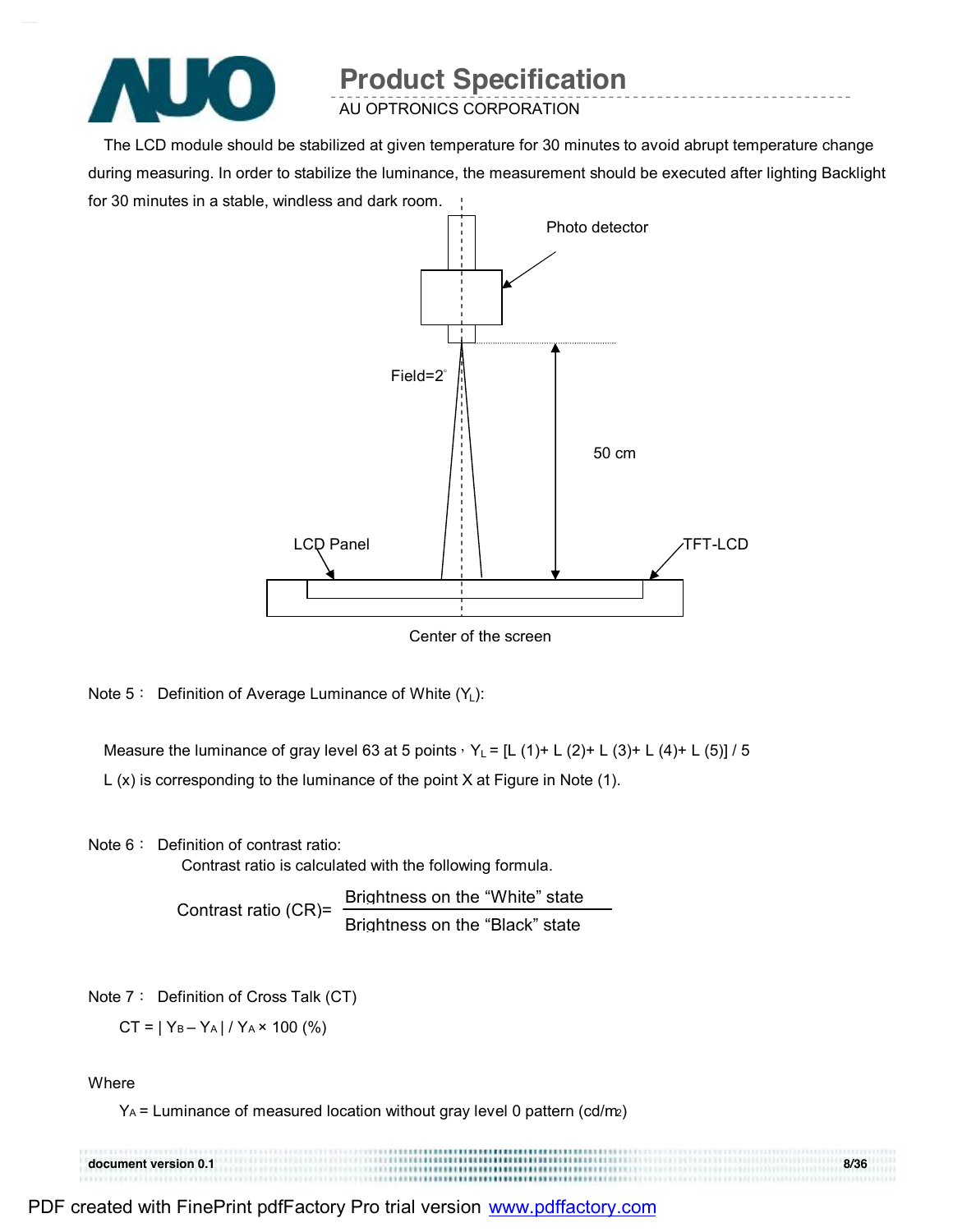

AU OPTRONICS CORPORATION

The LCD module should be stabilized at given temperature for 30 minutes to avoid abrupt temperature change during measuring. In order to stabilize the luminance, the measurement should be executed after lighting Backlight for 30 minutes in a stable, windless and dark room.



Note  $5:$  Definition of Average Luminance of White  $(Y_L)$ :

Measure the luminance of gray level 63 at 5 points,  $Y_L = [L (1) + L (2) + L (3) + L (4) + L (5)] / 5$ 

L (x) is corresponding to the luminance of the point X at Figure in Note (1).

Note 6: Definition of contrast ratio:

Contrast ratio is calculated with the following formula.

Contrast ratio (CR)= Brightness on the "White" state Brightness on the "Black" state

Note 7: Definition of Cross Talk (CT)

 $CT = |Y_B - Y_A| / Y_A \times 100$  (%)

**Where** 

 $Y_A$  = Luminance of measured location without gray level 0 pattern (cd/m2)

**document version 0.1 8/36**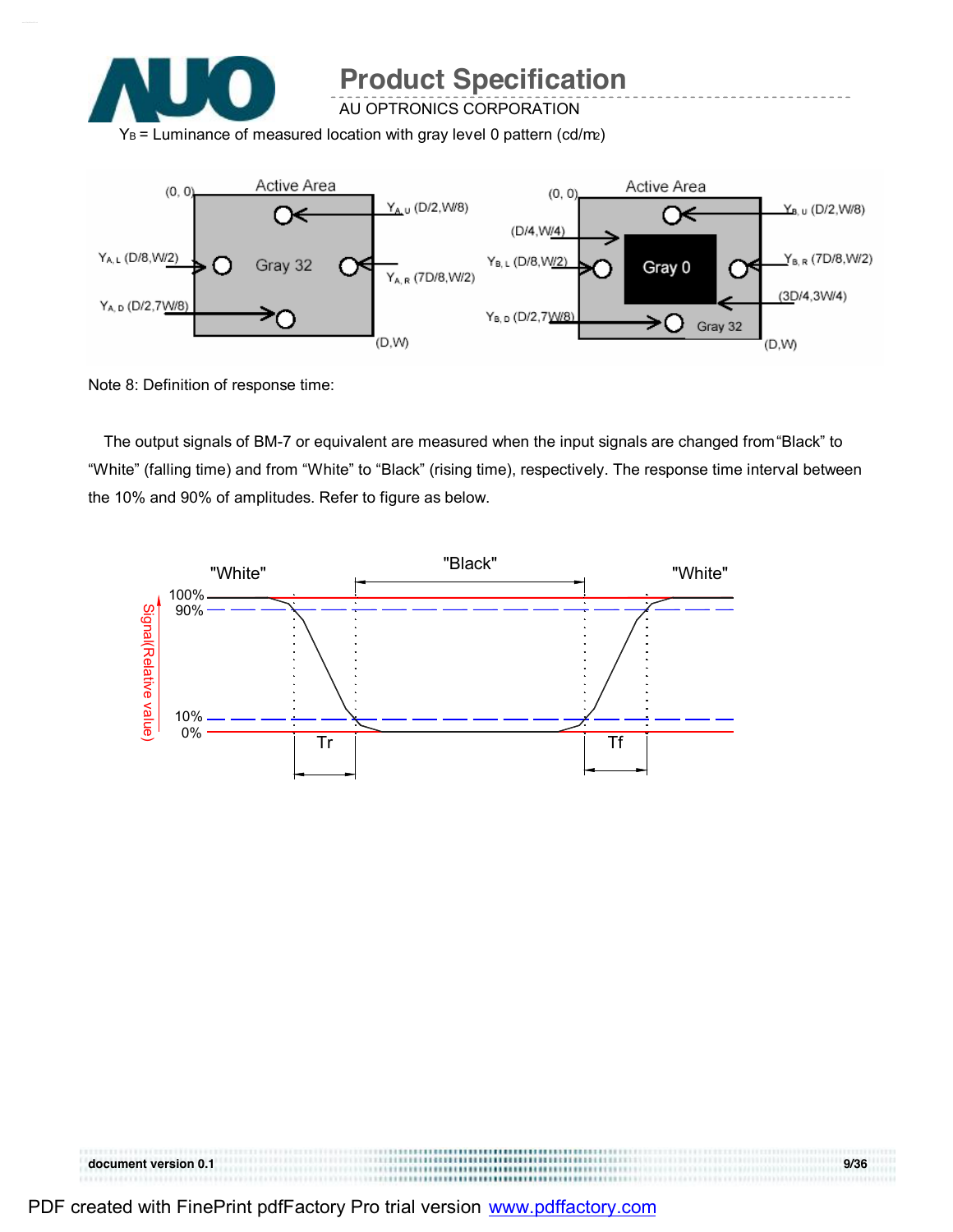

AU OPTRONICS CORPORATION

 $Y_B$  = Luminance of measured location with gray level 0 pattern (cd/m2)



Note 8: Definition of response time:

The output signals of BM-7 or equivalent are measured when the input signals are changed from "Black" to "White" (falling time) and from "White" to "Black" (rising time), respectively. The response time interval between the 10% and 90% of amplitudes. Refer to figure as below.



| PDF created with FinePrint pdfFactory Pro trial version www.pdffactory.com |  |
|----------------------------------------------------------------------------|--|
|                                                                            |  |

**document version 0.1 9/36**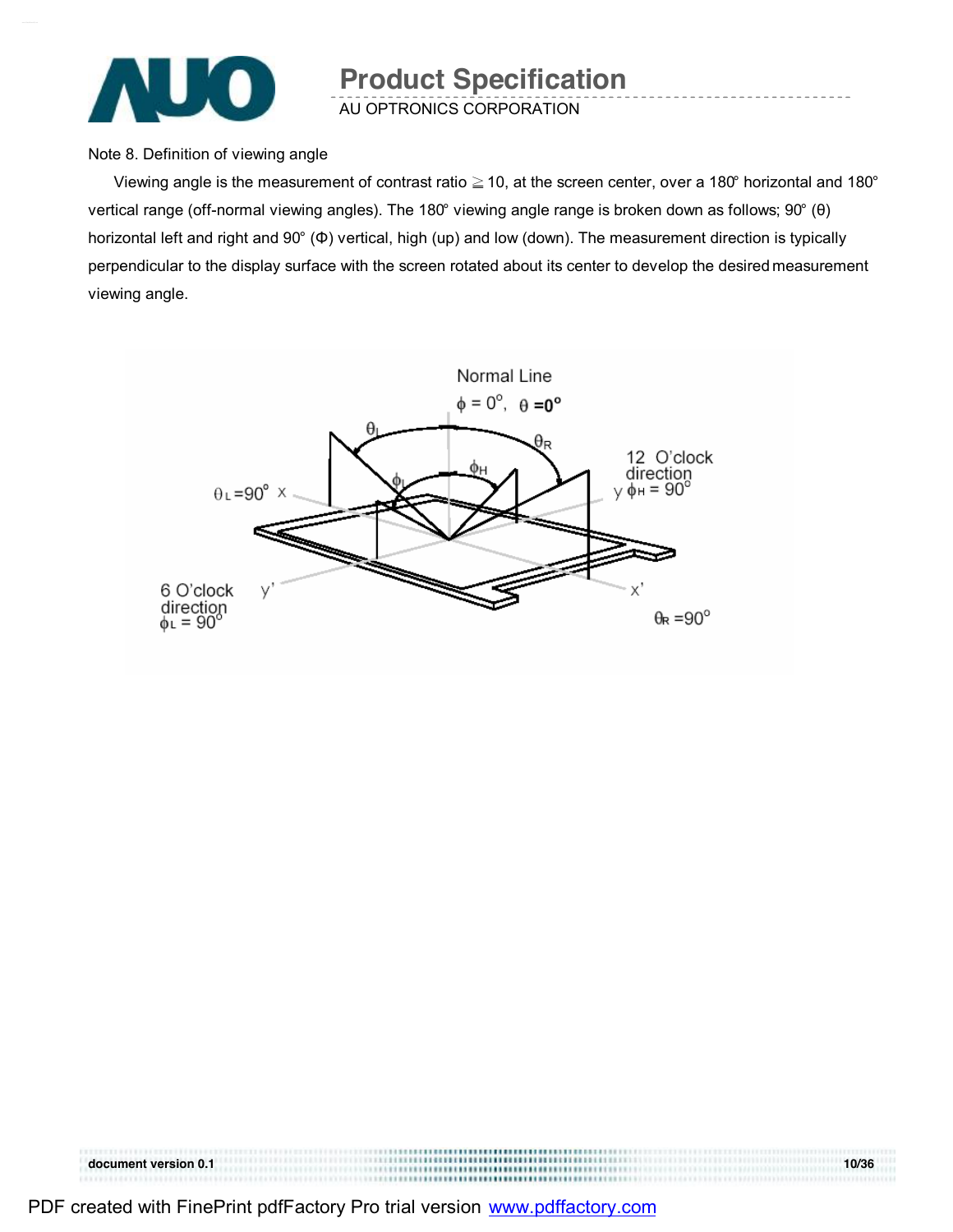

Note 8. Definition of viewing angle

Viewing angle is the measurement of contrast ratio  $\geq$  10, at the screen center, over a 180° horizontal and 180° vertical range (off-normal viewing angles). The 180° viewing angle range is broken down as follows; 90° (θ) horizontal left and right and 90° (Φ) vertical, high (up) and low (down). The measurement direction is typically perpendicular to the display surface with the screen rotated about its center to develop the desired measurement viewing angle.



**document version 0.1 10/36**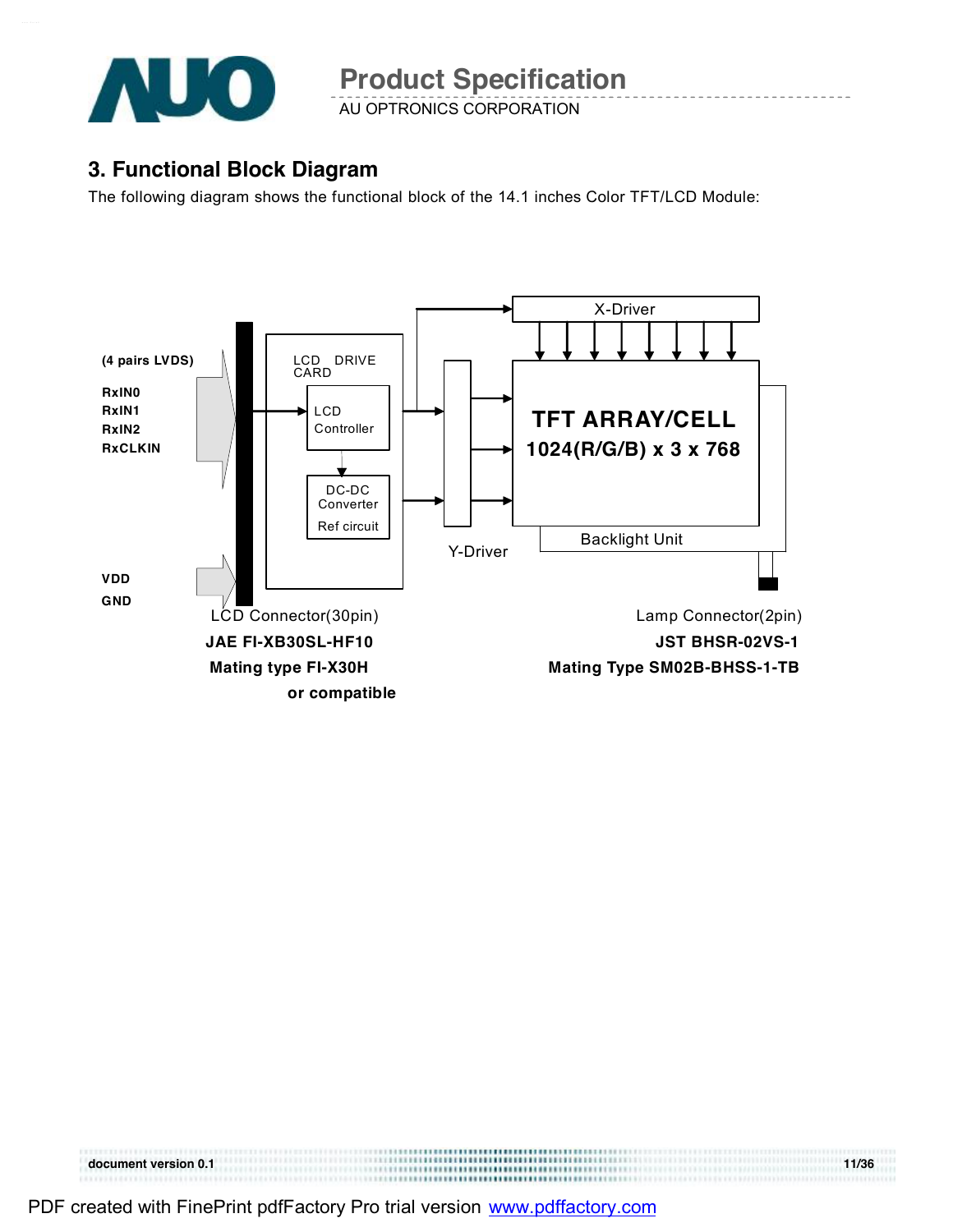

AU OPTRONICS CORPORATION

### **3. Functional Block Diagram**

The following diagram shows the functional block of the 14.1 inches Color TFT/LCD Module:



**document version 0.1** 11/36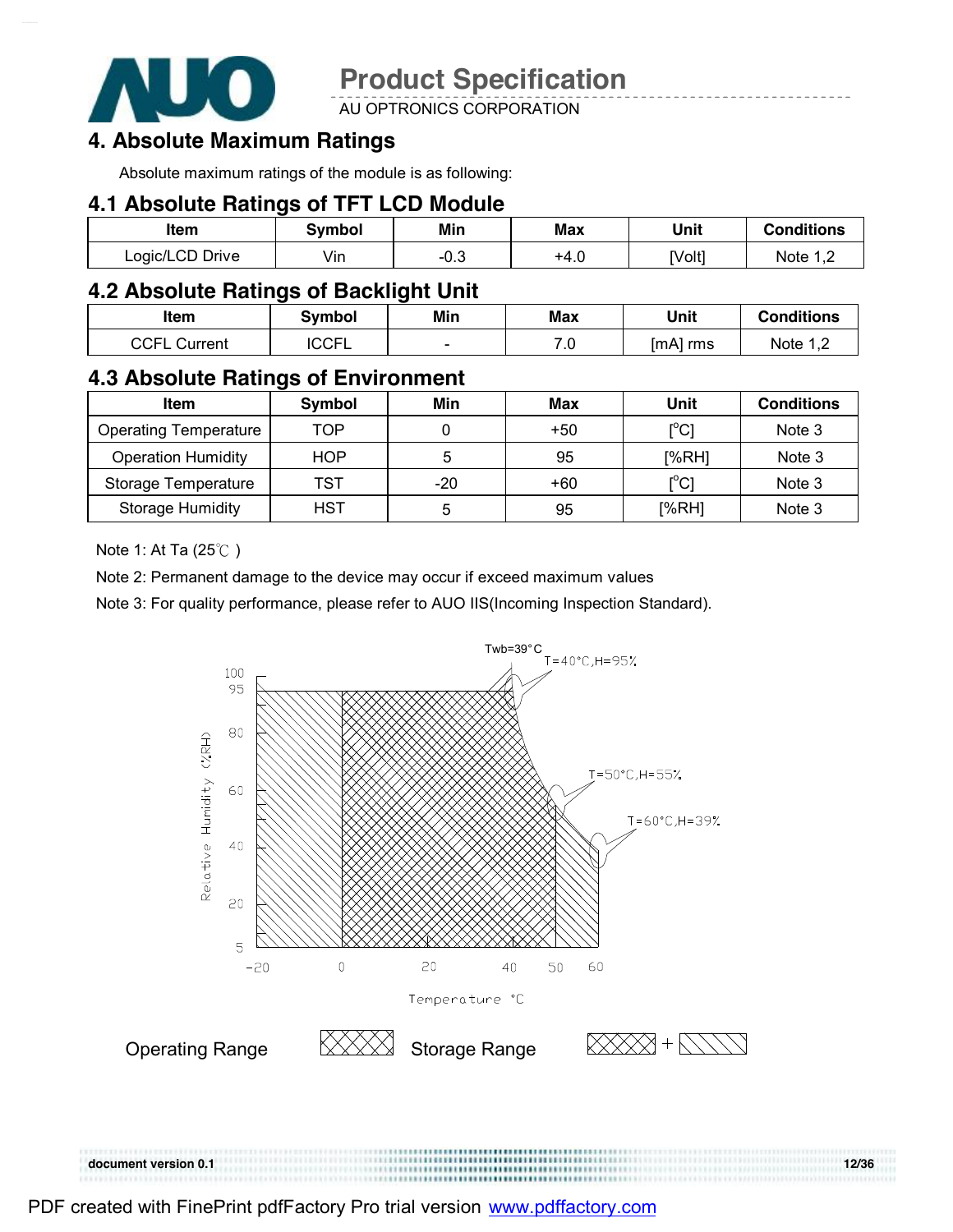

AU OPTRONICS CORPORATION

### **4. Absolute Maximum Ratings**

Absolute maximum ratings of the module is as following:

#### **4.1 Absolute Ratings of TFT LCD Module**

| ltem            | Svmbol | Min    | Max  | Unit   | <b>Conditions</b> |
|-----------------|--------|--------|------|--------|-------------------|
| Logic/LCD Drive | Vin    | $-0.3$ | +4.∪ | [Volt] | Note 1            |

### **4.2 Absolute Ratings of Backlight Unit**

| ltem                            | Symbol      | Min                      | <b>Max</b>   | Unit     | <b>Conditions</b>          |
|---------------------------------|-------------|--------------------------|--------------|----------|----------------------------|
| <b>CCEL</b><br>Current<br>انانا | <b>CCFL</b> | $\overline{\phantom{0}}$ | – 1<br>. . U | [mA] rms | Note 1<br>$\cdot$ , $\sim$ |

### **4.3 Absolute Ratings of Environment**

| <b>Item</b>                  | Symbol     | Min | Max   | Unit                                    | <b>Conditions</b> |
|------------------------------|------------|-----|-------|-----------------------------------------|-------------------|
| <b>Operating Temperature</b> | TOP        |     | $+50$ | $\mathsf{I}^\circ\mathsf{C} \mathsf{I}$ | Note 3            |
| <b>Operation Humidity</b>    | <b>HOP</b> | 5   | 95    | I%RHI                                   | Note 3            |
| Storage Temperature          | TST        | -20 | $+60$ | [°C]                                    | Note 3            |
| <b>Storage Humidity</b>      | HST        | b   | 95    | [%RH]                                   | Note 3            |

Note 1: At Ta (25℃ )

Note 2: Permanent damage to the device may occur if exceed maximum values

Note 3: For quality performance, please refer to AUO IIS(Incoming Inspection Standard).



**document version 0.1 12/36** 

PDF created with FinePrint pdfFactory Pro trial version [www.pdffactory.com](http://www.pdffactory.com)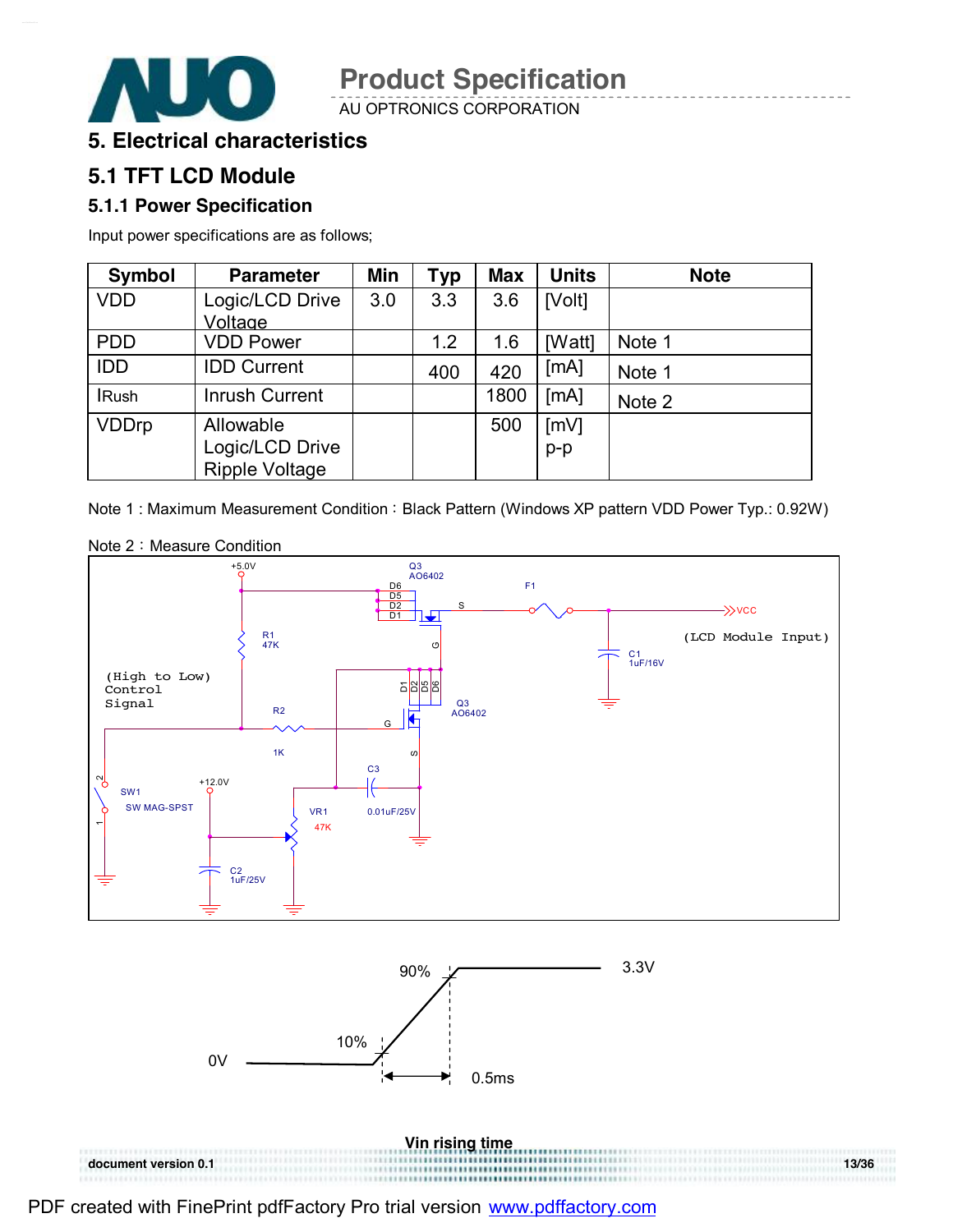

AU OPTRONICS CORPORATION

### **5. Electrical characteristics**

UO)

### **5.1 TFT LCD Module**

#### **5.1.1 Power Specification**

Input power specifications are as follows;

| <b>Symbol</b> | <b>Parameter</b>      | Min | <b>Typ</b> | <b>Max</b> | <b>Units</b> | <b>Note</b> |
|---------------|-----------------------|-----|------------|------------|--------------|-------------|
| <b>VDD</b>    | Logic/LCD Drive       | 3.0 | 3.3        | 3.6        | [Volt]       |             |
|               | Voltage               |     |            |            |              |             |
| <b>PDD</b>    | <b>VDD Power</b>      |     | 1.2        | 1.6        | [Watt]       | Note 1      |
| <b>IDD</b>    | <b>IDD Current</b>    |     | 400        | 420        | [MA]         | Note 1      |
| <b>IRush</b>  | <b>Inrush Current</b> |     |            | 1800       | [MA]         | Note 2      |
| <b>VDDrp</b>  | Allowable             |     |            | 500        | [mV]         |             |
|               | Logic/LCD Drive       |     |            |            | $p-p$        |             |
|               | <b>Ripple Voltage</b> |     |            |            |              |             |

Note 1 : Maximum Measurement Condition : Black Pattern (Windows XP pattern VDD Power Typ.: 0.92W)



Note 2: Measure Condition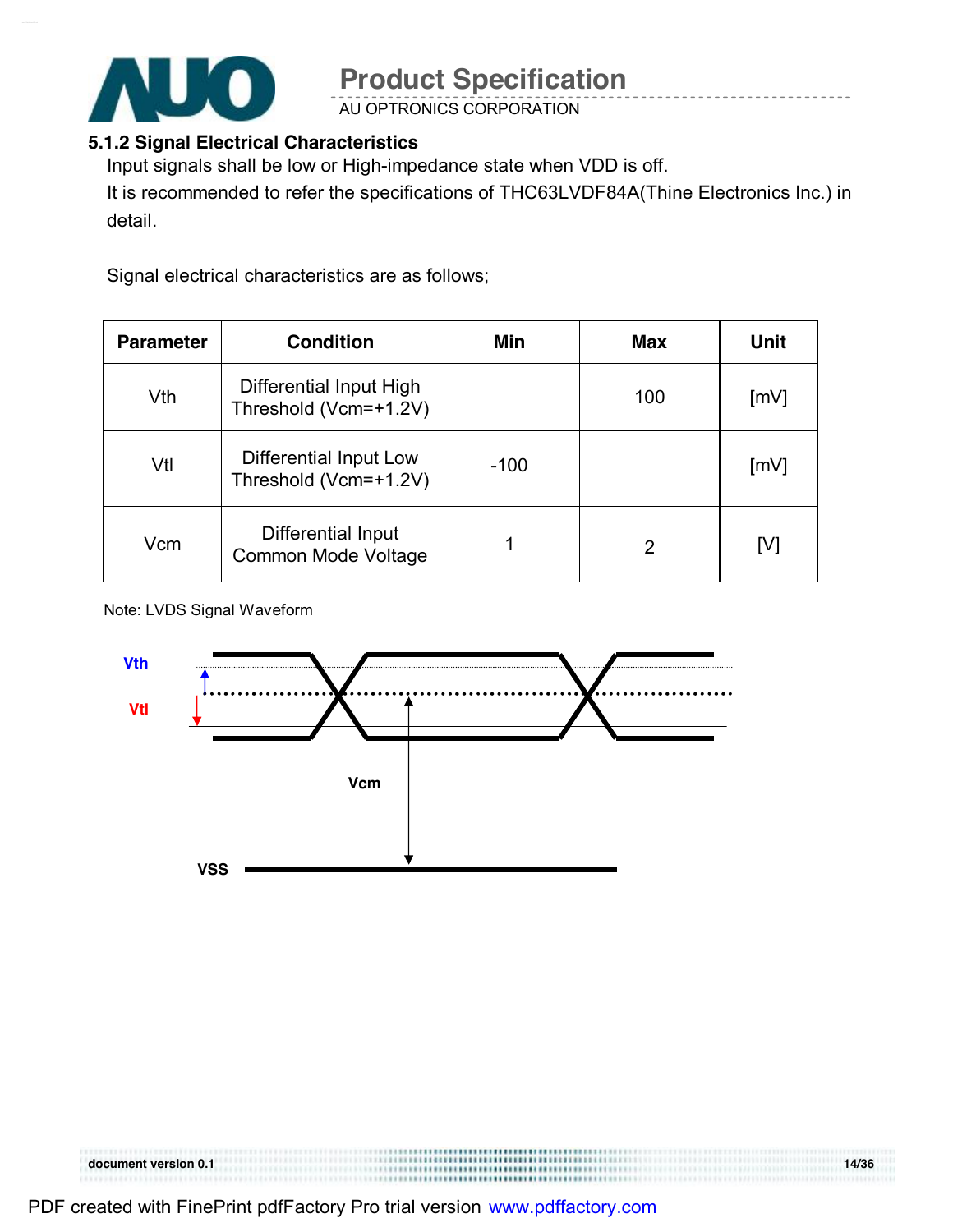

AU OPTRONICS CORPORATION

#### **5.1.2 Signal Electrical Characteristics**

Input signals shall be low or High-impedance state when VDD is off.

It is recommended to refer the specifications of THC63LVDF84A(Thine Electronics Inc.) in detail.

Signal electrical characteristics are as follows;

| <b>Parameter</b> | <b>Condition</b>                                 | Min    | Max | <b>Unit</b>        |
|------------------|--------------------------------------------------|--------|-----|--------------------|
| Vth              | Differential Input High<br>Threshold (Vcm=+1.2V) |        | 100 | $\lceil mV \rceil$ |
| Vtl              | Differential Input Low<br>Threshold (Vcm=+1.2V)  | $-100$ |     | [mV]               |
| Vcm              | Differential Input<br><b>Common Mode Voltage</b> |        | 2   | [V]                |

Note: LVDS Signal Waveform



| document version 0.1 |         | 14/36 |
|----------------------|---------|-------|
|                      | <b></b> |       |

PDF created with FinePrint pdfFactory Pro trial version [www.pdffactory.com](http://www.pdffactory.com)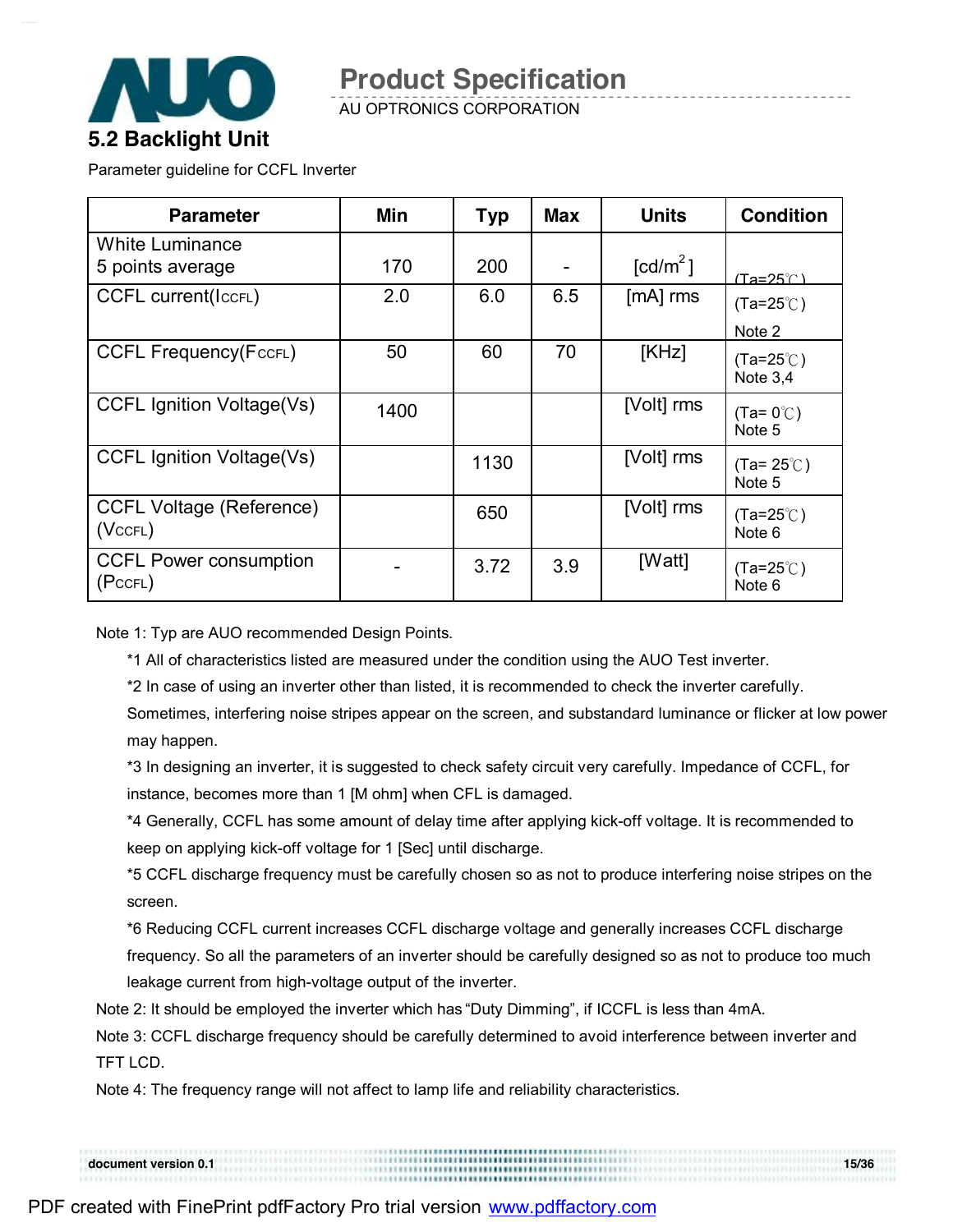

AU OPTRONICS CORPORATION

Parameter guideline for CCFL Inverter

| <b>Parameter</b>                                 | Min  | <b>Typ</b> | <b>Max</b> | <b>Units</b>           | <b>Condition</b>                            |
|--------------------------------------------------|------|------------|------------|------------------------|---------------------------------------------|
| <b>White Luminance</b><br>5 points average       | 170  | 200        |            | $\lceil cd/m^2 \rceil$ | $(Ta=25^\circ \cap )$                       |
| <b>CCFL current(ICCFL)</b>                       | 2.0  | 6.0        | 6.5        | $[mA]$ rms             | $(Ta=25^{\circ}C)$                          |
| <b>CCFL Frequency(FccFL)</b>                     | 50   | 60         | 70         | [KHz]                  | Note 2<br>$(Ta=25^{\circ}$ C)<br>Note $3,4$ |
| <b>CCFL Ignition Voltage(Vs)</b>                 | 1400 |            |            | [Volt] rms             | $(Ta=0^{\circ}C)$<br>Note 5                 |
| <b>CCFL Ignition Voltage(Vs)</b>                 |      | 1130       |            | [Volt] rms             | $(Ta=25^{\circ}C)$<br>Note 5                |
| <b>CCFL Voltage (Reference)</b><br>$(Vc$ CFL $)$ |      | 650        |            | [Volt] rms             | $(Ta=25^{\circ}C)$<br>Note 6                |
| <b>CCFL Power consumption</b><br>(PccFL)         |      | 3.72       | 3.9        | [Watt]                 | $(Ta=25^{\circ}$ C)<br>Note 6               |

Note 1: Typ are AUO recommended Design Points.

\*1 All of characteristics listed are measured under the condition using the AUO Test inverter.

\*2 In case of using an inverter other than listed, it is recommended to check the inverter carefully.

Sometimes, interfering noise stripes appear on the screen, and substandard luminance or flicker at low power may happen.

\*3 In designing an inverter, it is suggested to check safety circuit very carefully. Impedance of CCFL, for instance, becomes more than 1 [M ohm] when CFL is damaged.

\*4 Generally, CCFL has some amount of delay time after applying kick-off voltage. It is recommended to keep on applying kick-off voltage for 1 [Sec] until discharge.

\*5 CCFL discharge frequency must be carefully chosen so as not to produce interfering noise stripes on the screen.

\*6 Reducing CCFL current increases CCFL discharge voltage and generally increases CCFL discharge frequency. So all the parameters of an inverter should be carefully designed so as not to produce too much leakage current from high-voltage output of the inverter.

Note 2: It should be employed the inverter which has "Duty Dimming", if ICCFL is less than 4mA.

Note 3: CCFL discharge frequency should be carefully determined to avoid interference between inverter and TFT LCD.

Note 4: The frequency range will not affect to lamp life and reliability characteristics.

**document version 0.1 15/36**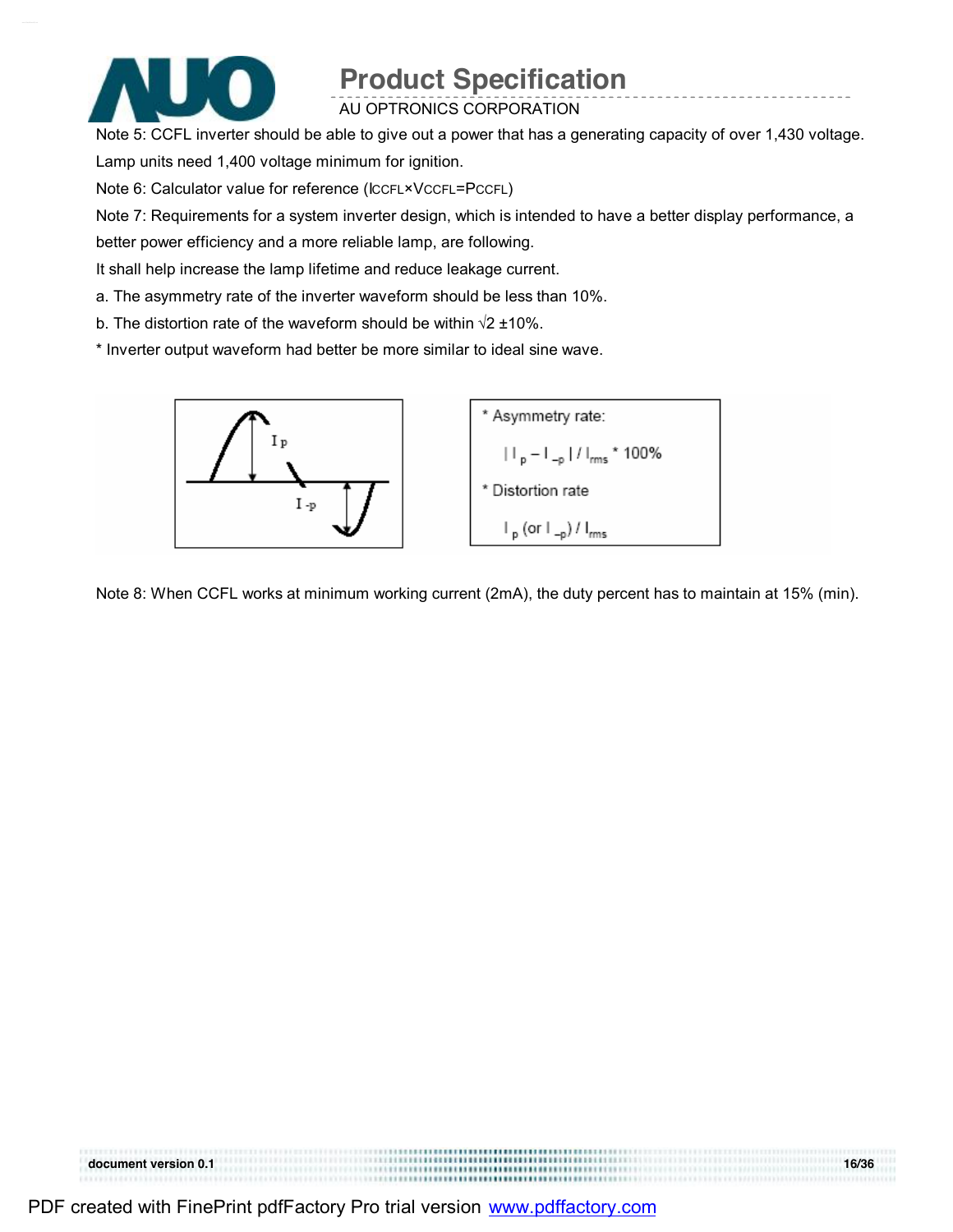

AU OPTRONICS CORPORATION

Note 5: CCFL inverter should be able to give out a power that has a generating capacity of over 1,430 voltage. Lamp units need 1,400 voltage minimum for ignition.

Note 6: Calculator value for reference (ICCFL×VCCFL=PCCFL)

Note 7: Requirements for a system inverter design, which is intended to have a better display performance, a

better power efficiency and a more reliable lamp, are following.

It shall help increase the lamp lifetime and reduce leakage current.

a. The asymmetry rate of the inverter waveform should be less than 10%.

b. The distortion rate of the waveform should be within  $\sqrt{2}$  ±10%.

\* Inverter output waveform had better be more similar to ideal sine wave.



Note 8: When CCFL works at minimum working current (2mA), the duty percent has to maintain at 15% (min).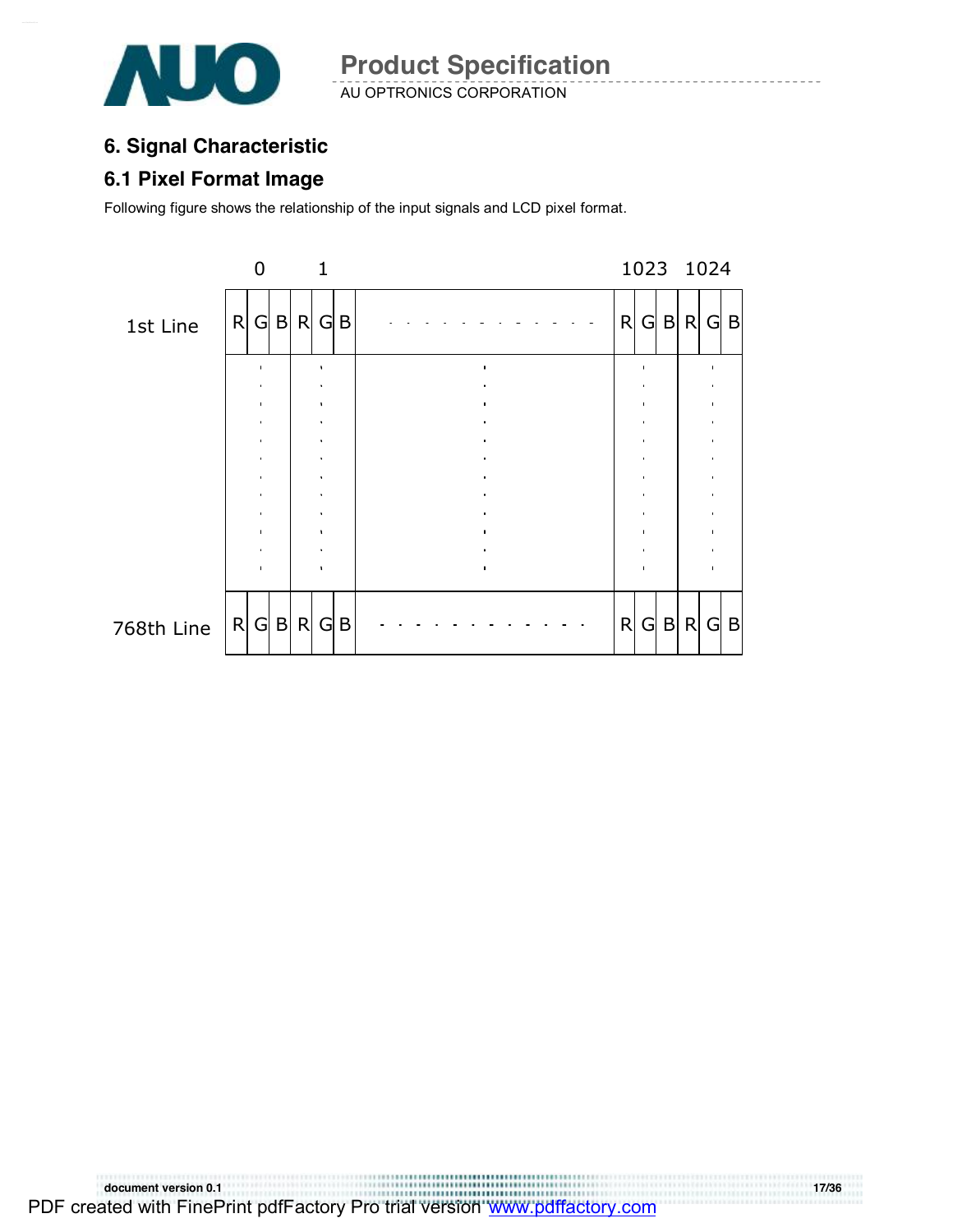

### **6. Signal Characteristic**

#### **6.1 Pixel Format Image**

Following figure shows the relationship of the input signals and LCD pixel format.

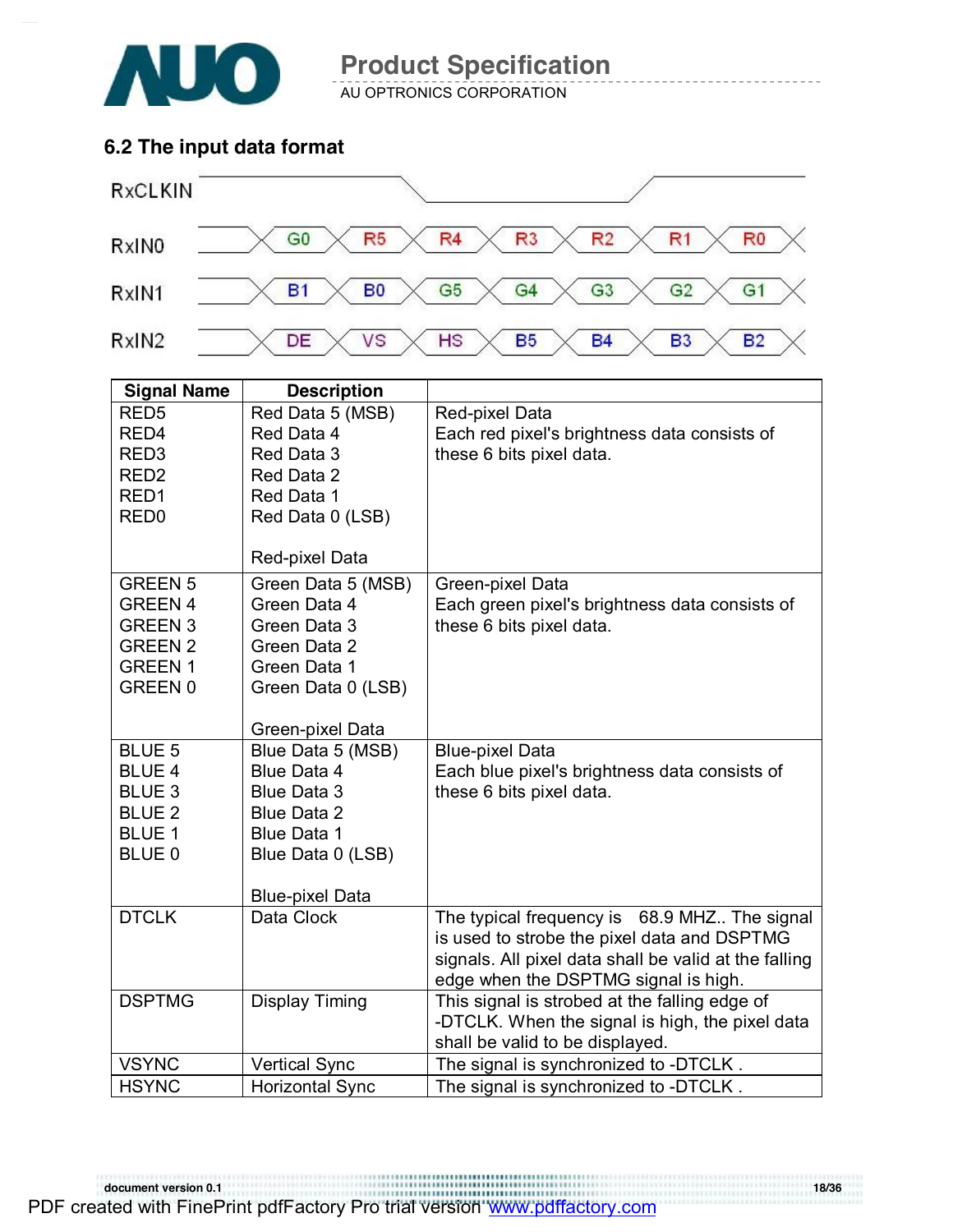

AU OPTRONICS CORPORATION

### **6.2 The input data format**



| <b>Signal Name</b>             | <b>Description</b>                |                                                       |
|--------------------------------|-----------------------------------|-------------------------------------------------------|
| RED <sub>5</sub>               | Red Data 5 (MSB)                  | Red-pixel Data                                        |
| RED <sub>4</sub>               | Red Data 4                        | Each red pixel's brightness data consists of          |
| RED <sub>3</sub>               | Red Data 3                        | these 6 bits pixel data.                              |
| RED <sub>2</sub>               | Red Data 2                        |                                                       |
| RED <sub>1</sub>               | Red Data 1                        |                                                       |
| RED <sub>0</sub>               | Red Data 0 (LSB)                  |                                                       |
|                                |                                   |                                                       |
|                                | Red-pixel Data                    |                                                       |
| <b>GREEN 5</b>                 | Green Data 5 (MSB)                | Green-pixel Data                                      |
| <b>GREEN 4</b>                 | Green Data 4                      | Each green pixel's brightness data consists of        |
| <b>GREEN 3</b>                 | Green Data 3                      | these 6 bits pixel data.                              |
| <b>GREEN 2</b>                 | Green Data 2                      |                                                       |
| <b>GREEN1</b>                  | Green Data 1                      |                                                       |
| <b>GREEN 0</b>                 | Green Data 0 (LSB)                |                                                       |
|                                |                                   |                                                       |
|                                | Green-pixel Data                  |                                                       |
| <b>BLUE 5</b>                  | Blue Data 5 (MSB)                 | <b>Blue-pixel Data</b>                                |
| <b>BLUE 4</b><br><b>BLUE 3</b> | Blue Data 4<br><b>Blue Data 3</b> | Each blue pixel's brightness data consists of         |
| <b>BLUE 2</b>                  | <b>Blue Data 2</b>                | these 6 bits pixel data.                              |
| <b>BLUE 1</b>                  | <b>Blue Data 1</b>                |                                                       |
| <b>BLUE 0</b>                  | Blue Data 0 (LSB)                 |                                                       |
|                                |                                   |                                                       |
|                                | <b>Blue-pixel Data</b>            |                                                       |
| <b>DTCLK</b>                   | Data Clock                        | The typical frequency is 68.9 MHZ The signal          |
|                                |                                   | is used to strobe the pixel data and DSPTMG           |
|                                |                                   | signals. All pixel data shall be valid at the falling |
|                                |                                   | edge when the DSPTMG signal is high.                  |
| <b>DSPTMG</b>                  | <b>Display Timing</b>             | This signal is strobed at the falling edge of         |
|                                |                                   | -DTCLK. When the signal is high, the pixel data       |
|                                |                                   | shall be valid to be displayed.                       |
| <b>VSYNC</b>                   | <b>Vertical Sync</b>              | The signal is synchronized to -DTCLK.                 |
| <b>HSYNC</b>                   | <b>Horizontal Sync</b>            | The signal is synchronized to -DTCLK.                 |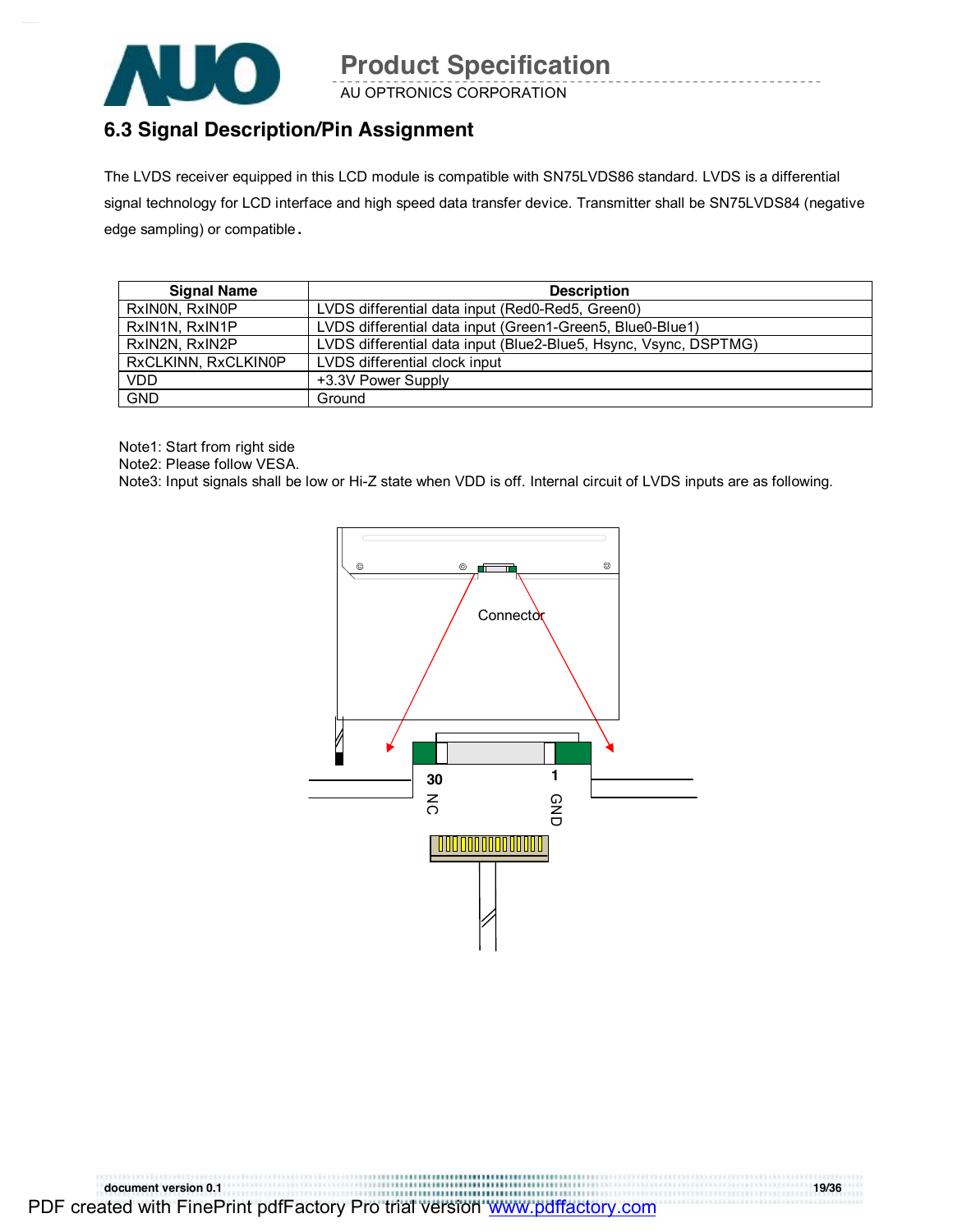

AU OPTRONICS CORPORATION

### **6.3 Signal Description/Pin Assignment**

The LVDS receiver equipped in this LCD module is compatible with SN75LVDS86 standard. LVDS is a differential signal technology for LCD interface and high speed data transfer device. Transmitter shall be SN75LVDS84 (negative edge sampling) or compatible**.** 

| <b>Signal Name</b>  | <b>Description</b>                                               |
|---------------------|------------------------------------------------------------------|
| RxINON, RxINOP      | LVDS differential data input (Red0-Red5, Green0)                 |
| RxIN1N, RxIN1P      | LVDS differential data input (Green1-Green5, Blue0-Blue1)        |
| RxIN2N, RxIN2P      | LVDS differential data input (Blue2-Blue5, Hsync, Vsync, DSPTMG) |
| RxCLKINN, RxCLKIN0P | LVDS differential clock input                                    |
| <b>VDD</b>          | +3.3V Power Supply                                               |
| <b>GND</b>          | Ground                                                           |

Note1: Start from right side

Note2: Please follow VESA.

Note3: Input signals shall be low or Hi-Z state when VDD is off. Internal circuit of LVDS inputs are as following.

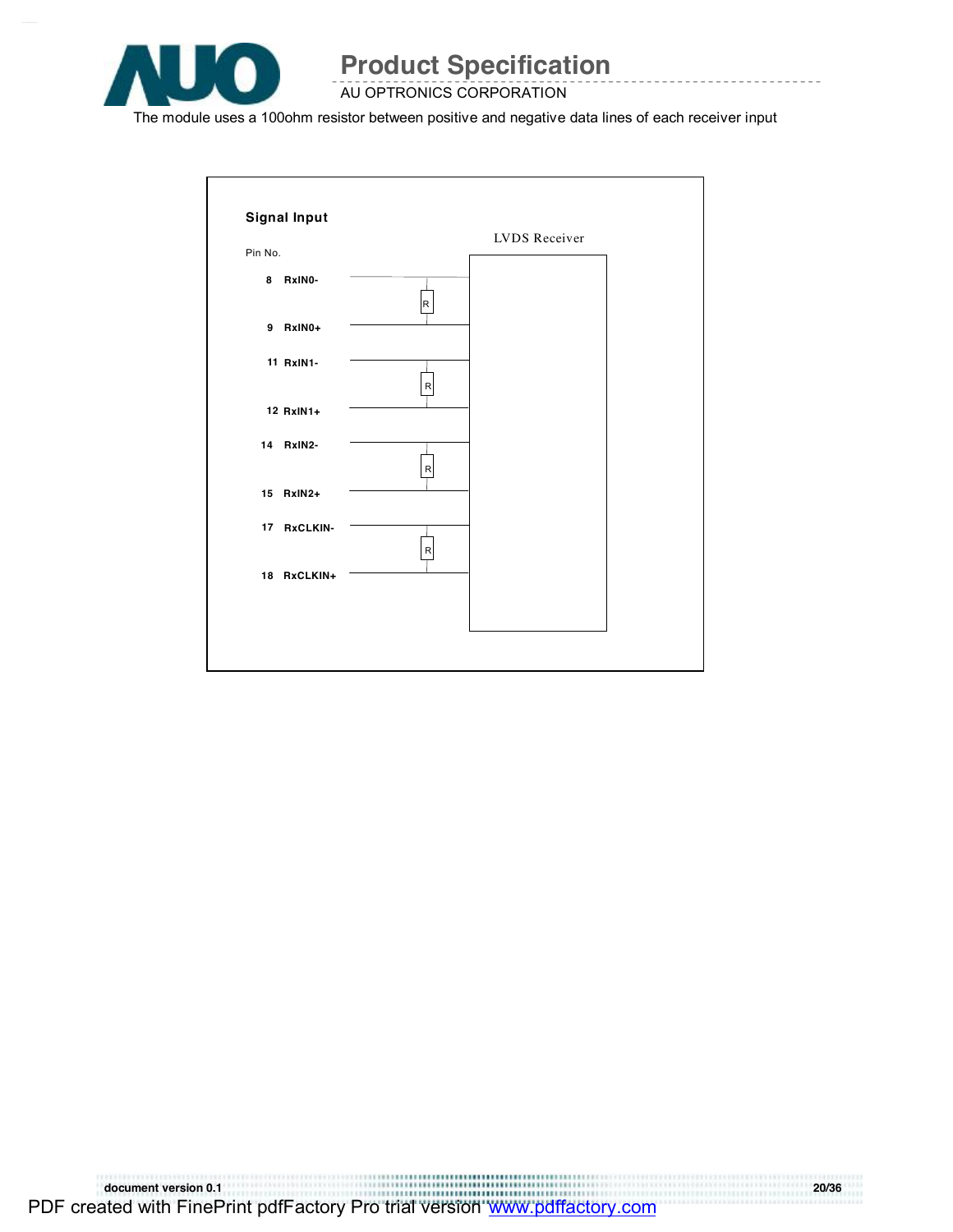

#### AU OPTRONICS CORPORATION

The module uses a 100ohm resistor between positive and negative data lines of each receiver input



**document version 0.1 20/36**  PDF created with FinePrint pdfFactory Pro trial version [www.pdffactory.com](http://www.pdffactory.com)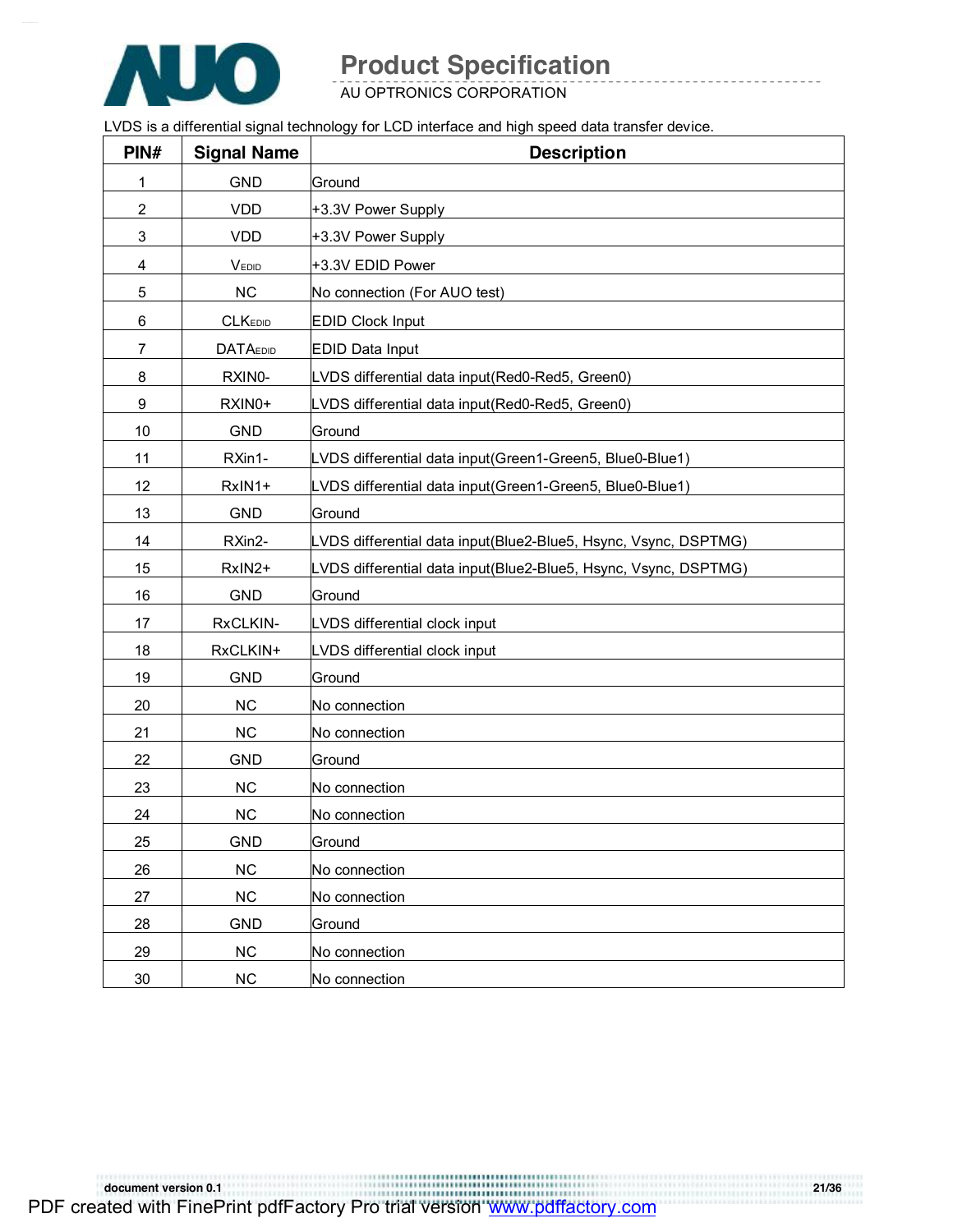

AU OPTRONICS CORPORATION

LVDS is a differential signal technology for LCD interface and high speed data transfer device.

| PIN#           | <b>Signal Name</b> | <b>Description</b>                                              |
|----------------|--------------------|-----------------------------------------------------------------|
| 1              | <b>GND</b>         | Ground                                                          |
| 2              | <b>VDD</b>         | +3.3V Power Supply                                              |
| 3              | <b>VDD</b>         | +3.3V Power Supply                                              |
| 4              | VEDID              | +3.3V EDID Power                                                |
| 5              | ${\sf NC}$         | No connection (For AUO test)                                    |
| 6              | <b>CLKEDID</b>     | <b>EDID Clock Input</b>                                         |
| $\overline{7}$ | <b>DATAEDID</b>    | <b>EDID Data Input</b>                                          |
| 8              | RXIN0-             | LVDS differential data input(Red0-Red5, Green0)                 |
| 9              | RXIN0+             | LVDS differential data input(Red0-Red5, Green0)                 |
| 10             | <b>GND</b>         | Ground                                                          |
| 11             | RXin1-             | LVDS differential data input(Green1-Green5, Blue0-Blue1)        |
| 12             | RxIN1+             | LVDS differential data input(Green1-Green5, Blue0-Blue1)        |
| 13             | <b>GND</b>         | Ground                                                          |
| 14             | RXin2-             | LVDS differential data input(Blue2-Blue5, Hsync, Vsync, DSPTMG) |
| 15             | RxIN2+             | LVDS differential data input(Blue2-Blue5, Hsync, Vsync, DSPTMG) |
| 16             | <b>GND</b>         | Ground                                                          |
| 17             | RxCLKIN-           | LVDS differential clock input                                   |
| 18             | RxCLKIN+           | LVDS differential clock input                                   |
| 19             | <b>GND</b>         | Ground                                                          |
| 20             | <b>NC</b>          | No connection                                                   |
| 21             | NC                 | No connection                                                   |
| 22             | <b>GND</b>         | Ground                                                          |
| 23             | NC                 | No connection                                                   |
| 24             | <b>NC</b>          | No connection                                                   |
| 25             | <b>GND</b>         | Ground                                                          |
| 26             | NC                 | No connection                                                   |
| 27             | NC                 | No connection                                                   |
| 28             | <b>GND</b>         | Ground                                                          |
| 29             | NC                 | No connection                                                   |
| $30\,$         | $NC$               | No connection                                                   |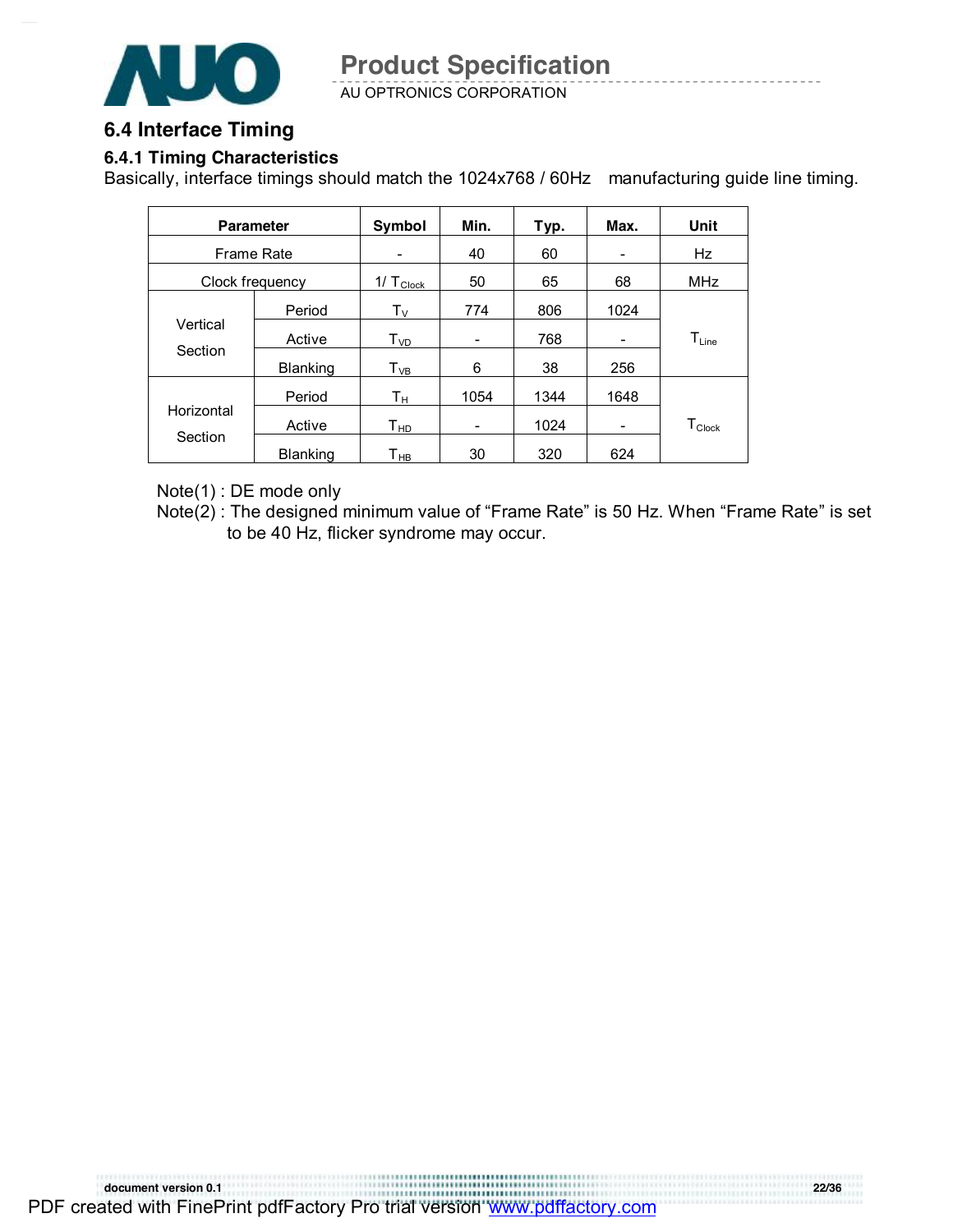

AU OPTRONICS CORPORATION

#### **6.4 Interface Timing**

#### **6.4.1 Timing Characteristics**

Basically, interface timings should match the 1024x768 / 60Hz manufacturing guide line timing.

|                 | <b>Parameter</b> | Symbol                     | Min. | Typ. | Max. | Unit                           |
|-----------------|------------------|----------------------------|------|------|------|--------------------------------|
| Frame Rate      |                  |                            | 40   | 60   | -    | Hz                             |
| Clock frequency |                  | $1/\top_{\text{Clock}}$    | 50   | 65   | 68   | <b>MHz</b>                     |
|                 | Period           | $\mathsf{T}_\mathsf{V}$    | 774  | 806  | 1024 |                                |
| Vertical        | Active           | $T_{VD}$                   | -    | 768  | -    | $\mathsf{T}_{\mathsf{Line}}$   |
| Section         | <b>Blanking</b>  | $T_{VB}$                   | 6    | 38   | 256  |                                |
|                 | Period           | Tн                         | 1054 | 1344 | 1648 |                                |
| Horizontal      | Active           | $\mathsf{T}_{\mathsf{HD}}$ | -    | 1024 | -    | ${\mathsf T}_{\mathsf{Clock}}$ |
| Section         | <b>Blanking</b>  | Т <sub>нв</sub>            | 30   | 320  | 624  |                                |

Note(1) : DE mode only

Note(2) : The designed minimum value of "Frame Rate" is 50 Hz. When "Frame Rate" is set to be 40 Hz, flicker syndrome may occur.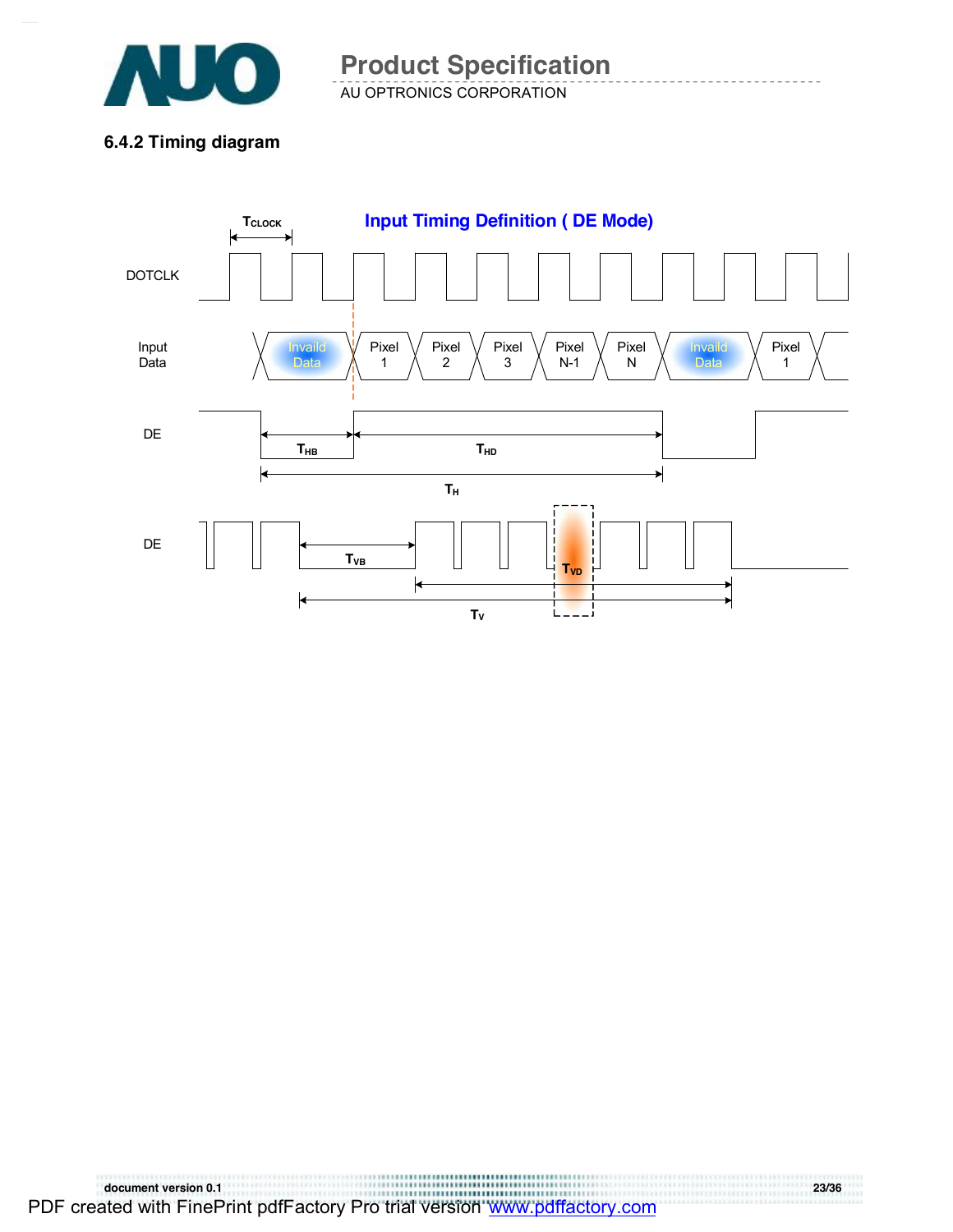

AU OPTRONICS CORPORATION **Product Specification** 

**6.4.2 Timing diagram** 

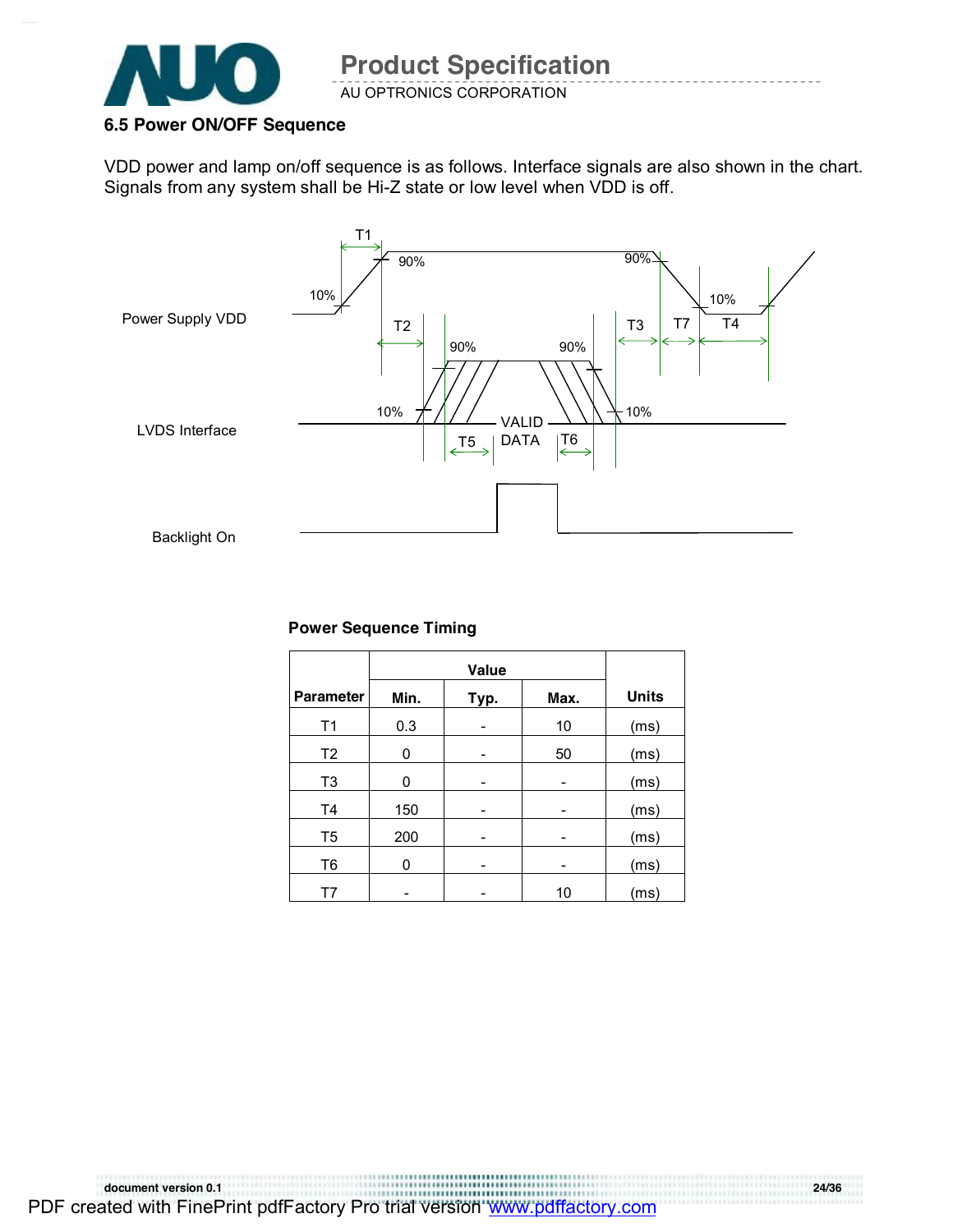

#### **6.5 Power ON/OFF Sequence**

VDD power and lamp on/off sequence is as follows. Interface signals are also shown in the chart. Signals from any system shall be Hi-Z state or low level when VDD is off.



#### **Power Sequence Timing**

| <b>Parameter</b> | Min. | Typ. | Max. | <b>Units</b> |
|------------------|------|------|------|--------------|
| T1               | 0.3  |      | 10   | (ms)         |
| T <sub>2</sub>   | 0    |      | 50   | (ms)         |
| T <sub>3</sub>   | 0    |      |      | (ms)         |
| T4               | 150  |      |      | (ms)         |
| T5               | 200  | -    | -    | (ms)         |
| T6               | 0    |      |      | (ms)         |
| T7               |      |      | 10   | (ms)         |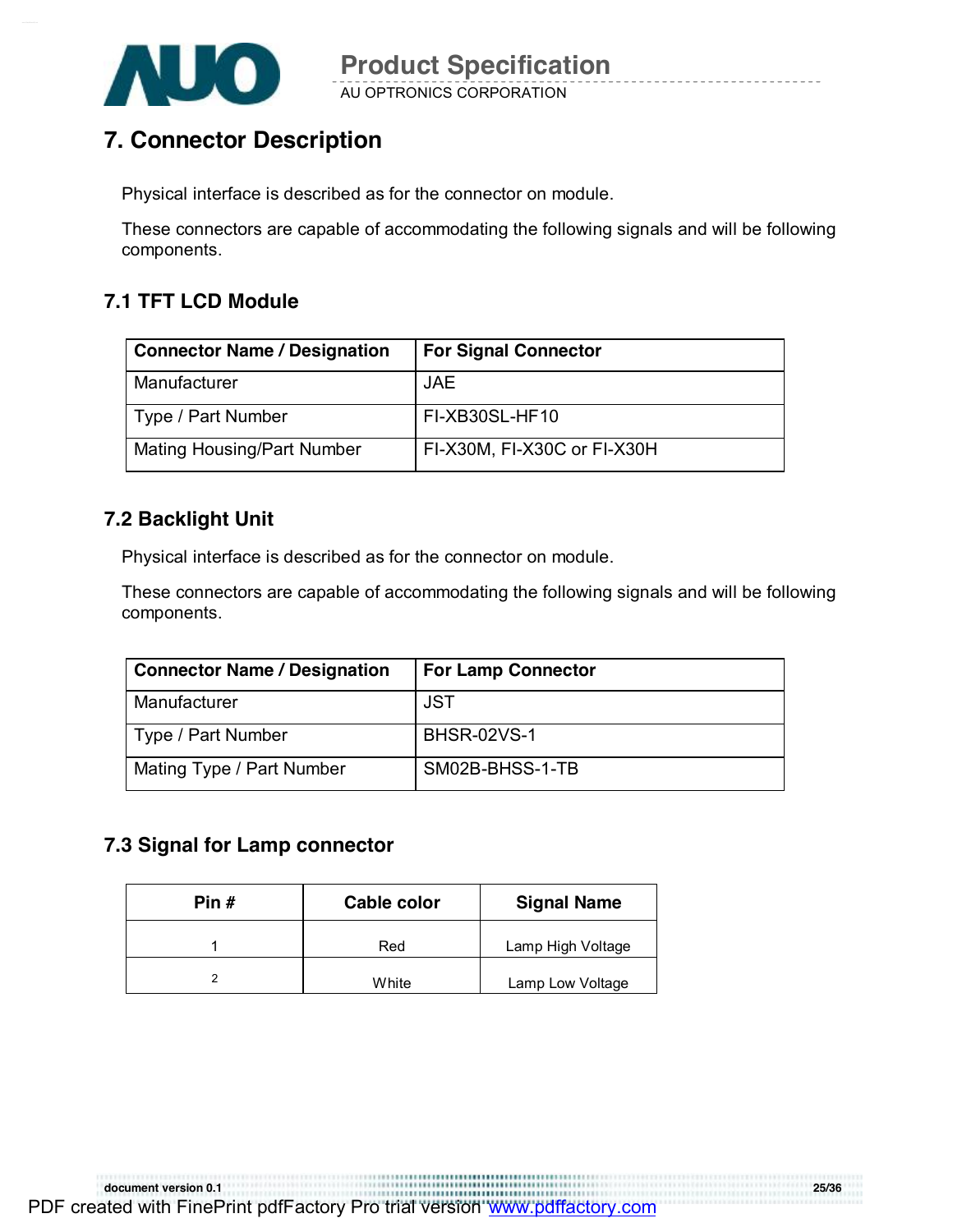

### **7. Connector Description**

Physical interface is described as for the connector on module.

These connectors are capable of accommodating the following signals and will be following components.

### **7.1 TFT LCD Module**

| <b>Connector Name / Designation</b> | <b>For Signal Connector</b> |
|-------------------------------------|-----------------------------|
| Manufacturer                        | <b>JAE</b>                  |
| Type / Part Number                  | FI-XB30SL-HF10              |
| Mating Housing/Part Number          | FI-X30M, FI-X30C or FI-X30H |

### **7.2 Backlight Unit**

Physical interface is described as for the connector on module.

These connectors are capable of accommodating the following signals and will be following components.

| <b>Connector Name / Designation</b> | <b>For Lamp Connector</b> |
|-------------------------------------|---------------------------|
| Manufacturer                        | <b>JST</b>                |
| Type / Part Number                  | <b>BHSR-02VS-1</b>        |
| Mating Type / Part Number           | SM02B-BHSS-1-TB           |

### **7.3 Signal for Lamp connector**

| Pin # | Cable color | <b>Signal Name</b> |
|-------|-------------|--------------------|
|       | Red         | Lamp High Voltage  |
|       | White       | Lamp Low Voltage   |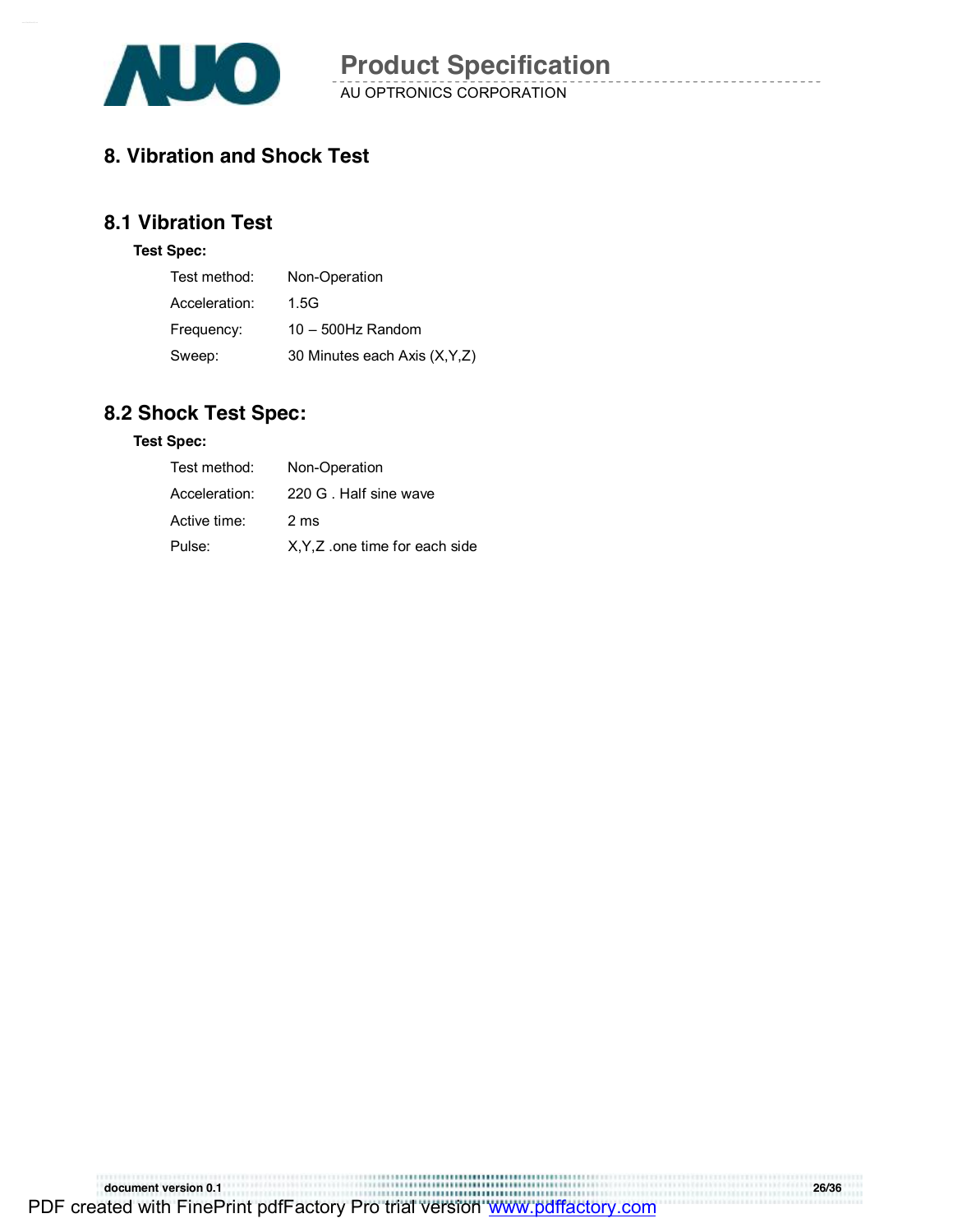

### **8. Vibration and Shock Test**

### **8.1 Vibration Test**

#### **Test Spec:**

| Test method:  | Non-Operation                  |
|---------------|--------------------------------|
| Acceleration: | 1.5G                           |
| Frequency:    | $10 - 500$ Hz Random           |
| Sweep:        | 30 Minutes each Axis (X, Y, Z) |

### **8.2 Shock Test Spec:**

#### **Test Spec:**

| Test method:  | Non-Operation                  |
|---------------|--------------------------------|
| Acceleration: | 220 G. Half sine wave          |
| Active time:  | 2 ms                           |
| Pulse:        | X, Y, Z one time for each side |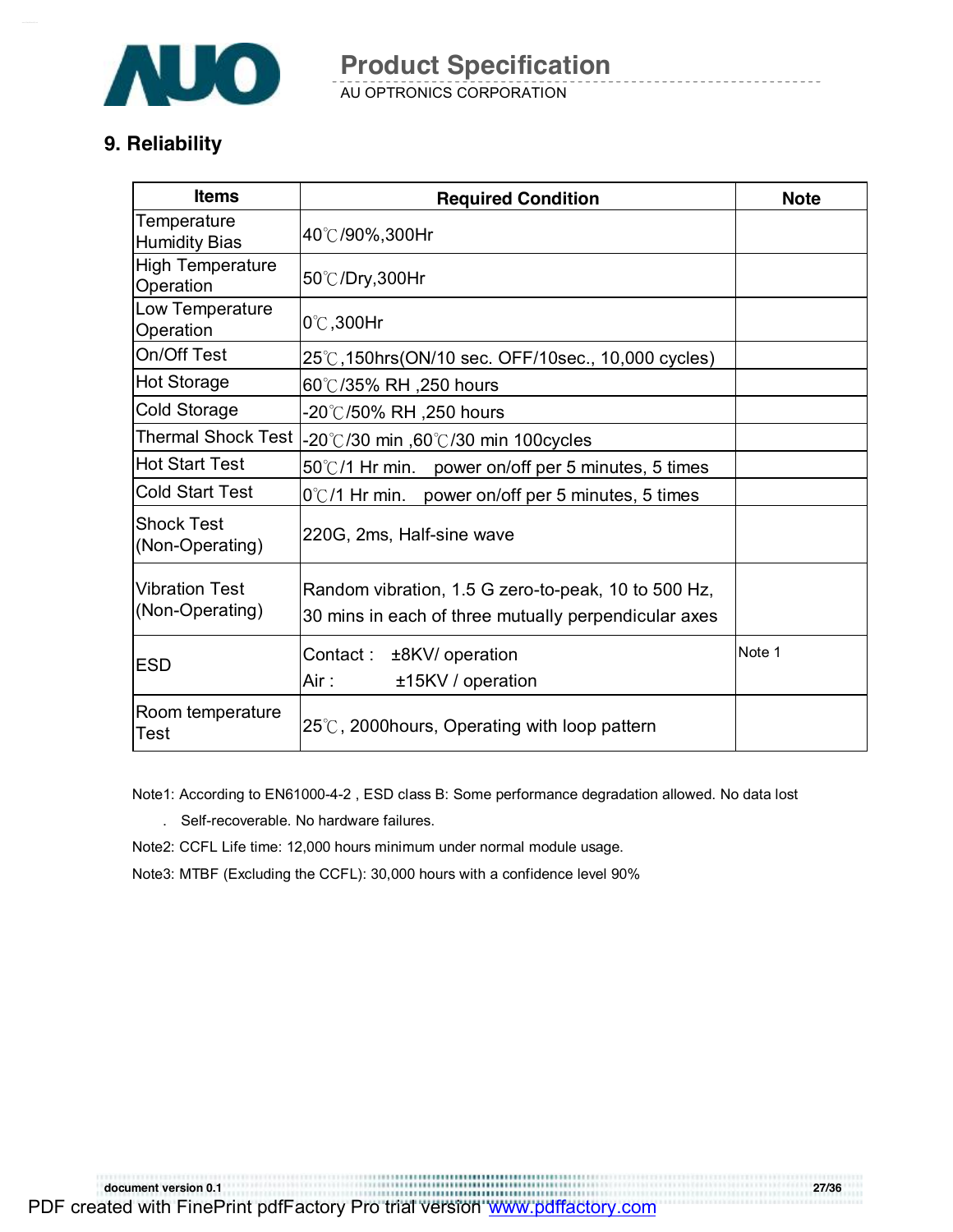

AU OPTRONICS CORPORATION

### **9. Reliability**

| <b>Items</b>                             | <b>Required Condition</b>                                                                                   | <b>Note</b> |
|------------------------------------------|-------------------------------------------------------------------------------------------------------------|-------------|
| Temperature<br><b>Humidity Bias</b>      | 40℃/90%,300Hr                                                                                               |             |
| <b>High Temperature</b><br>Operation     | 50℃/Dry,300Hr                                                                                               |             |
| Low Temperature<br>Operation             | 0°C,300Hr                                                                                                   |             |
| On/Off Test                              | 25℃,150hrs(ON/10 sec. OFF/10sec., 10,000 cycles)                                                            |             |
| Hot Storage                              | 60℃/35% RH ,250 hours                                                                                       |             |
| <b>Cold Storage</b>                      | 20℃/50% RH ,250 hours                                                                                       |             |
| <b>Thermal Shock Test</b>                | -20℃/30 min ,60℃/30 min 100cycles                                                                           |             |
| <b>Hot Start Test</b>                    | 50°C/1 Hr min. power on/off per 5 minutes, 5 times                                                          |             |
| <b>Cold Start Test</b>                   | 0℃/1 Hr min. power on/off per 5 minutes, 5 times                                                            |             |
| <b>Shock Test</b><br>(Non-Operating)     | 220G, 2ms, Half-sine wave                                                                                   |             |
| <b>Vibration Test</b><br>(Non-Operating) | Random vibration, 1.5 G zero-to-peak, 10 to 500 Hz,<br>30 mins in each of three mutually perpendicular axes |             |
| <b>ESD</b>                               | Contact:<br>±8KV/ operation<br>Air :<br>±15KV / operation                                                   | Note 1      |
| Room temperature<br><b>Test</b>          | 25℃, 2000hours, Operating with loop pattern                                                                 |             |

Note1: According to EN61000-4-2 , ESD class B: Some performance degradation allowed. No data lost

. Self-recoverable. No hardware failures.

Note2: CCFL Life time: 12,000 hours minimum under normal module usage.

Note3: MTBF (Excluding the CCFL): 30,000 hours with a confidence level 90%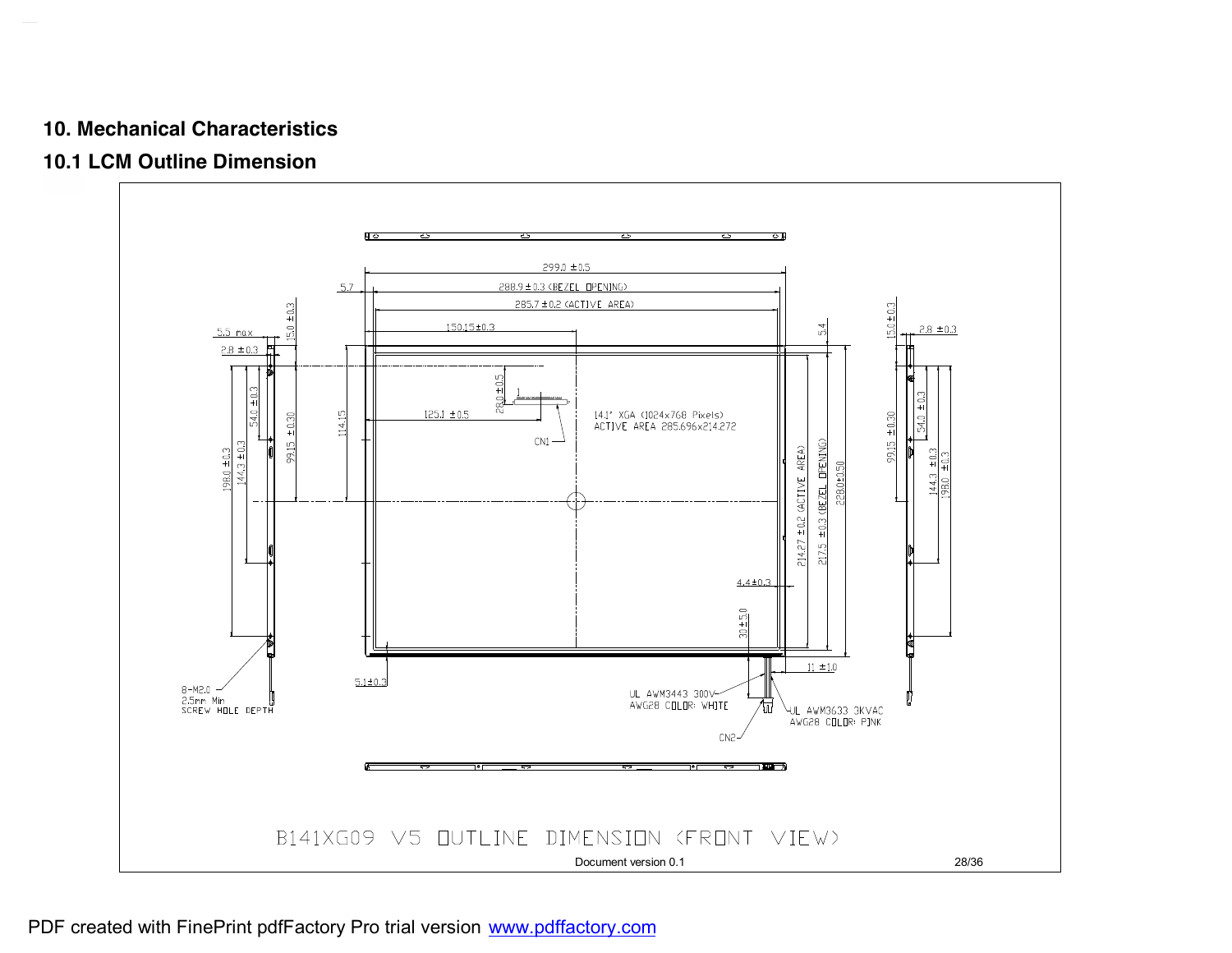#### **10. Mechanical Characteristics**

### **10.1 LCM Outline Dimension**

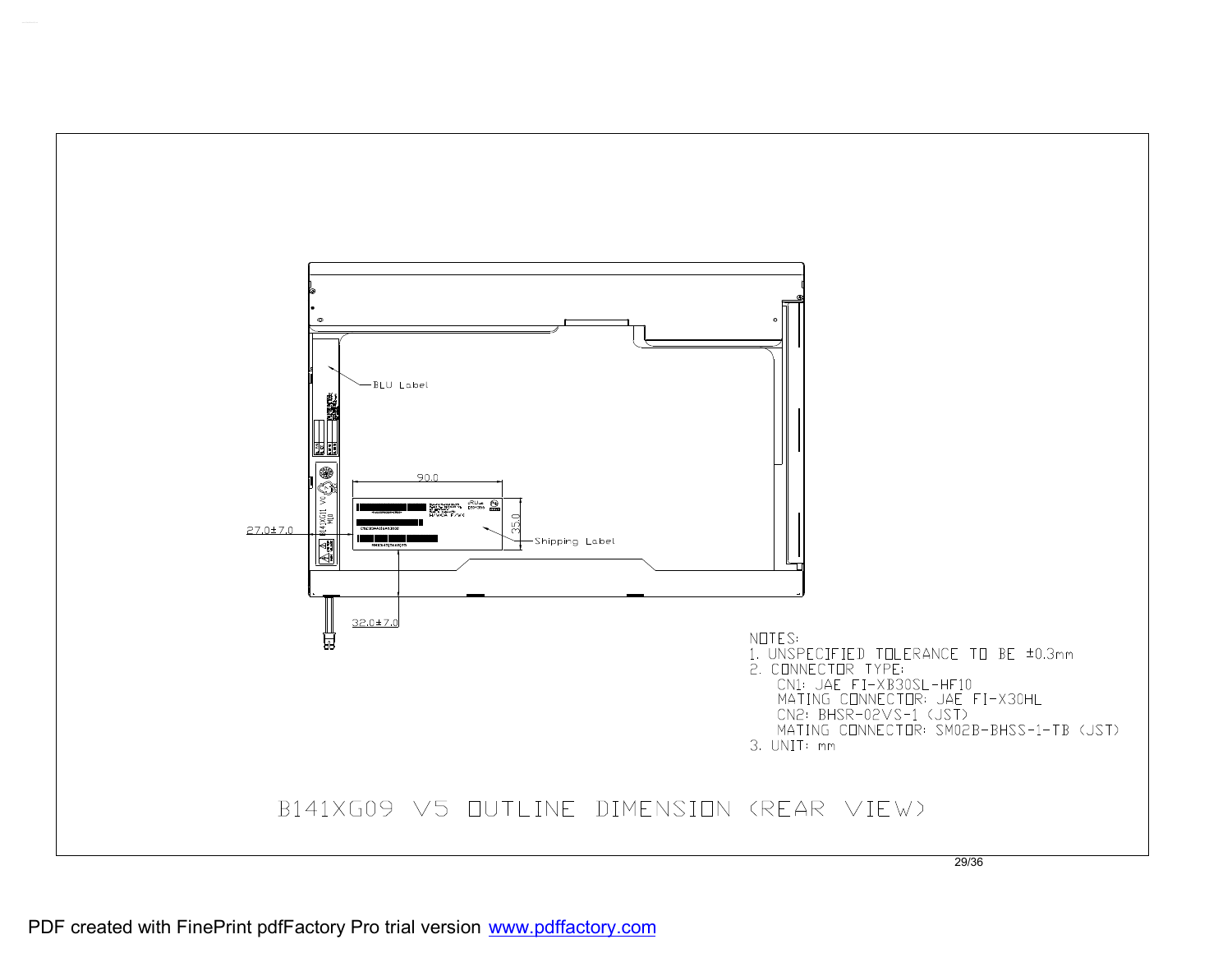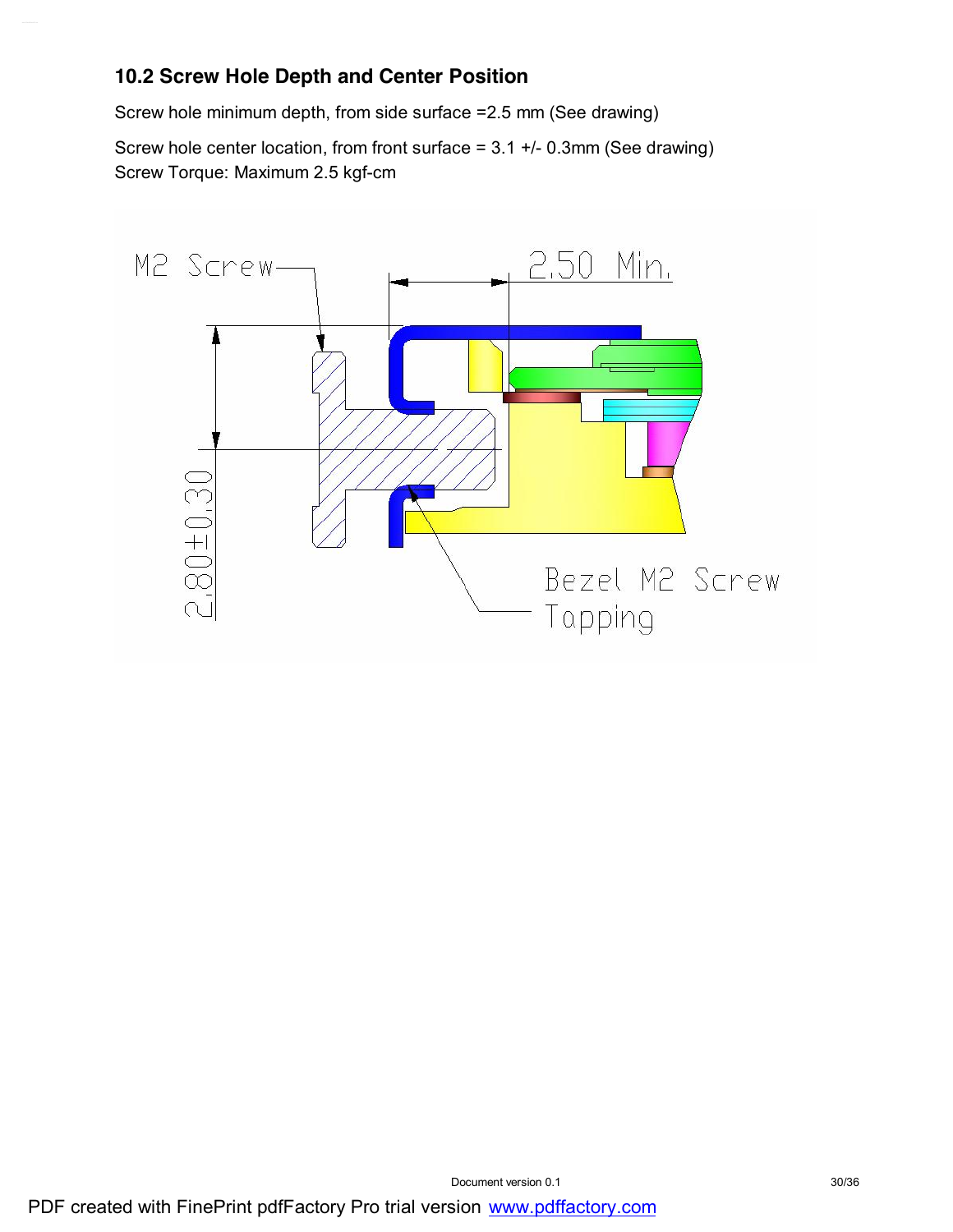### **10.2 Screw Hole Depth and Center Position**

Screw hole minimum depth, from side surface =2.5 mm (See drawing)

Screw hole center location, from front surface = 3.1 +/- 0.3mm (See drawing) Screw Torque: Maximum 2.5 kgf-cm

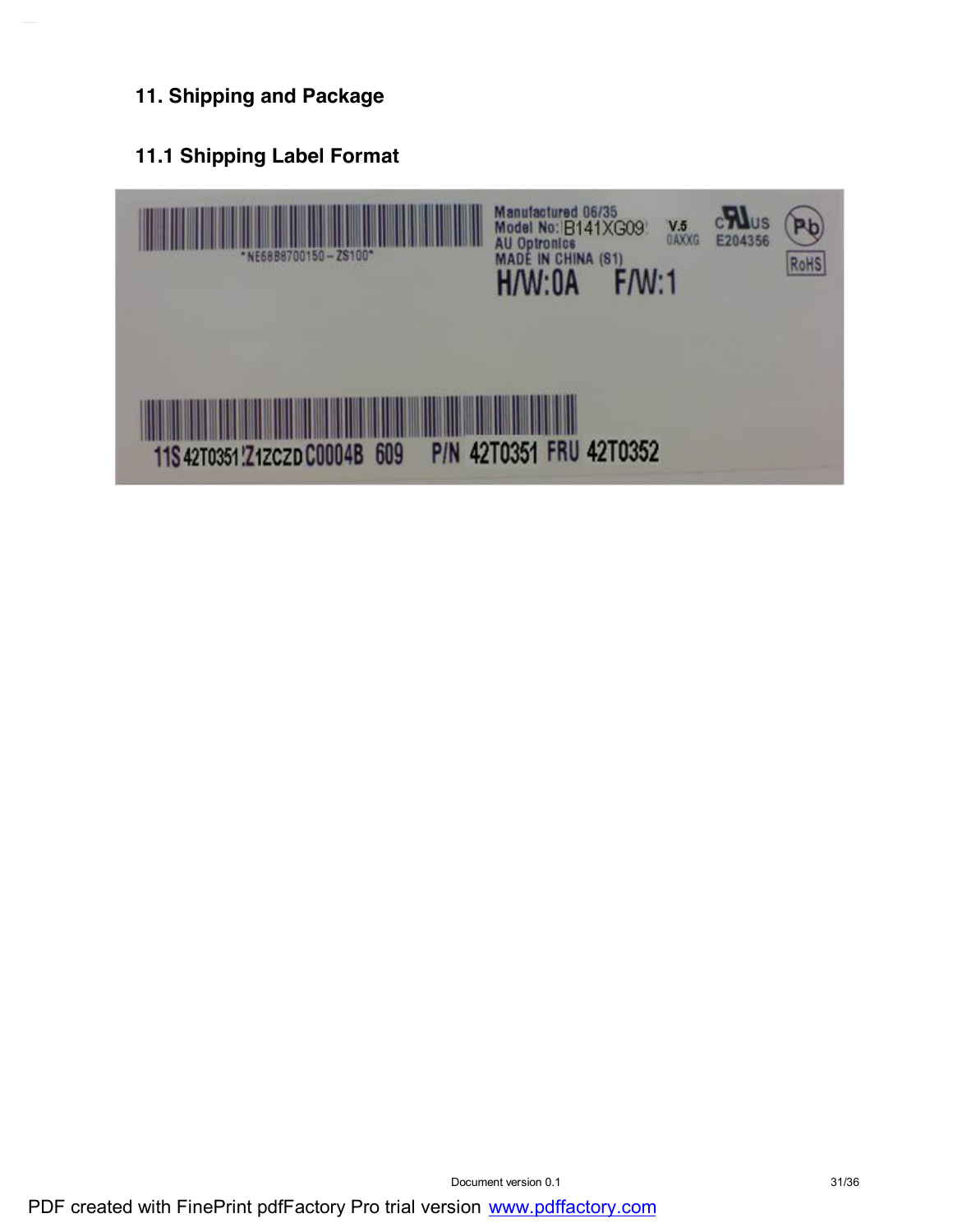### **11. Shipping and Package**

**11.1 Shipping Label Format**

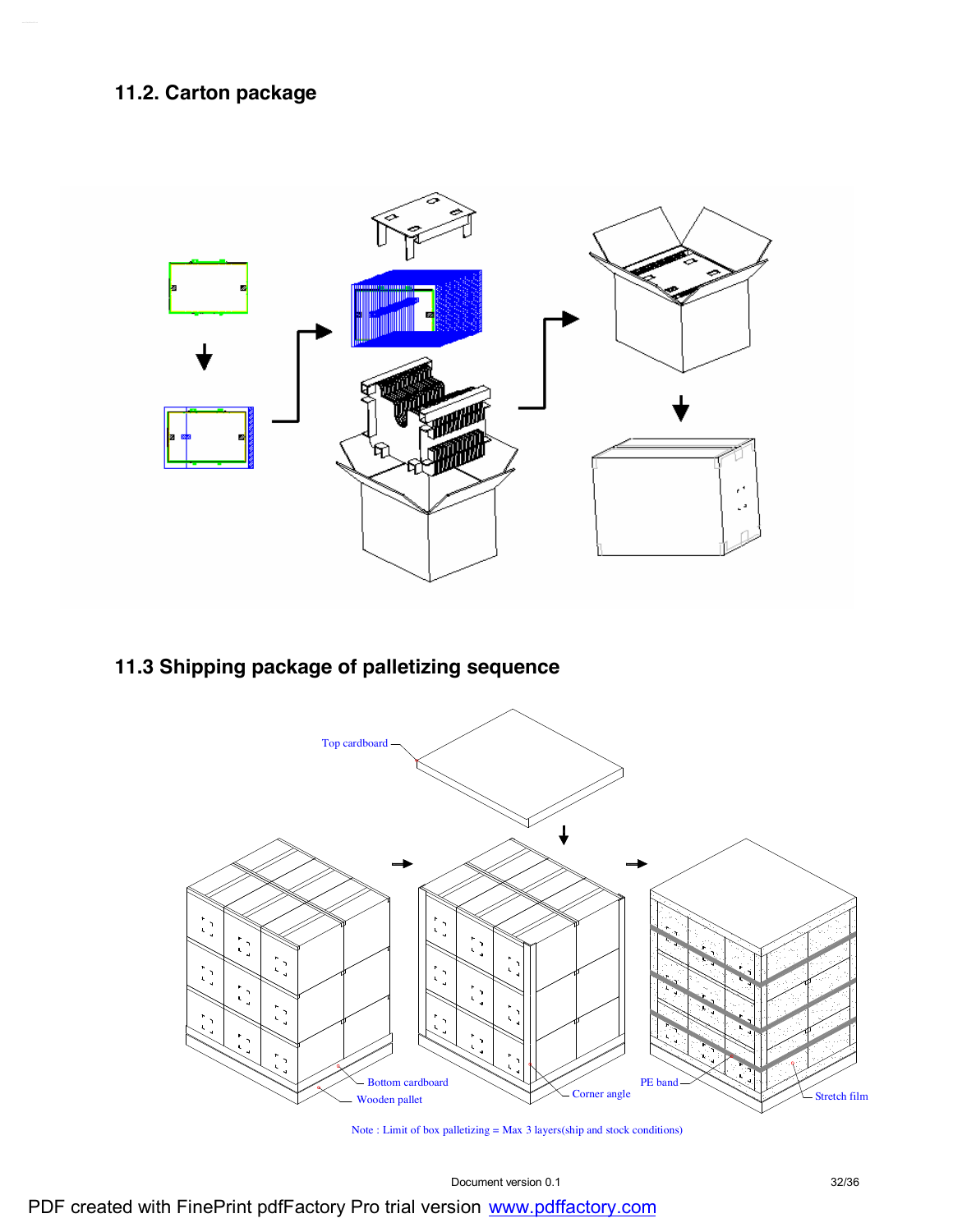### **11.2. Carton package**



### **11.3 Shipping package of palletizing sequence**



Note : Limit of box palletizing = Max 3 layers(ship and stock conditions)

Document version 0.1 32/36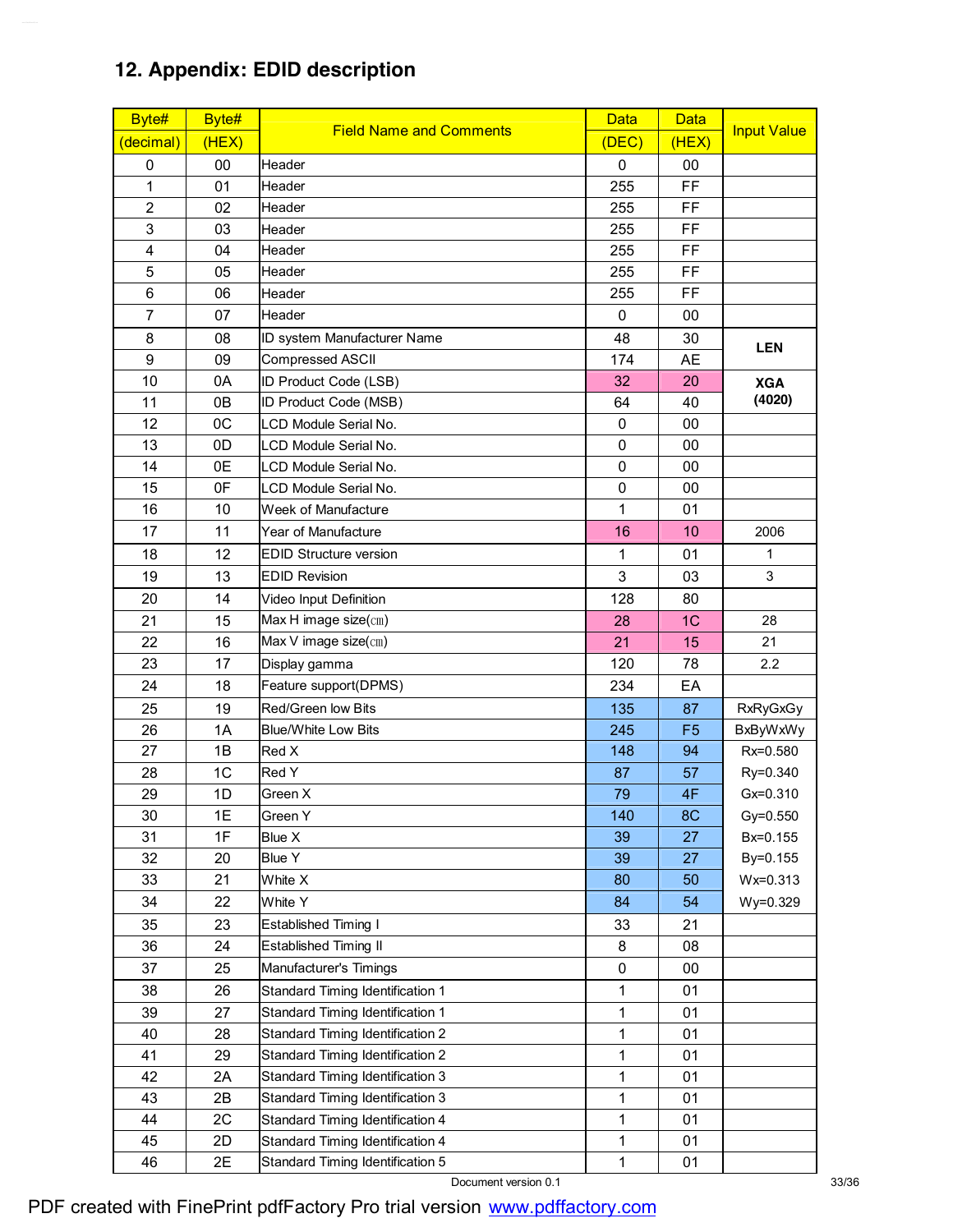### **12. Appendix: EDID description**

| Byte#          | Byte# | <b>Field Name and Comments</b>          | <b>Data</b>  | <b>Data</b>    |                    |
|----------------|-------|-----------------------------------------|--------------|----------------|--------------------|
| (decimal)      | (HEX) |                                         | (DEC)        | (HEX)          | <b>Input Value</b> |
| 0              | 00    | Header                                  | 0            | 00             |                    |
| 1              | 01    | Header                                  | 255          | FF             |                    |
| $\overline{2}$ | 02    | Header                                  | 255          | FF             |                    |
| 3              | 03    | Header                                  | 255          | FF             |                    |
| 4              | 04    | Header                                  | 255          | FF             |                    |
| 5              | 05    | Header                                  | 255          | FF             |                    |
| 6              | 06    | Header                                  | 255          | FF             |                    |
| $\overline{7}$ | 07    | Header                                  | $\mathbf 0$  | 00             |                    |
| 8              | 08    | ID system Manufacturer Name             | 48           | 30             | <b>LEN</b>         |
| 9              | 09    | Compressed ASCII                        | 174          | AE             |                    |
| 10             | 0A    | ID Product Code (LSB)                   | 32           | 20             | <b>XGA</b>         |
| 11             | 0B    | ID Product Code (MSB)                   | 64           | 40             | (4020)             |
| 12             | 0C    | LCD Module Serial No.                   | 0            | 00             |                    |
| 13             | 0D    | LCD Module Serial No.                   | 0            | 00             |                    |
| 14             | 0E    | LCD Module Serial No.                   | 0            | 00             |                    |
| 15             | 0F    | LCD Module Serial No.                   | 0            | 00             |                    |
| 16             | 10    | Week of Manufacture                     | 1            | 01             |                    |
| 17             | 11    | Year of Manufacture                     | 16           | 10             | 2006               |
| 18             | 12    | <b>EDID Structure version</b>           | 1            | 01             | 1                  |
| 19             | 13    | <b>EDID Revision</b>                    | 3            | 03             | 3                  |
| 20             | 14    | Video Input Definition                  | 128          | 80             |                    |
| 21             | 15    | Max H image size(cm)                    | 28           | 1 <sub>C</sub> | 28                 |
| 22             | 16    | Max V image size(cm)                    | 21           | 15             | 21                 |
| 23             | 17    | Display gamma                           | 120          | 78             | 2.2                |
| 24             | 18    | Feature support(DPMS)                   | 234          | EA             |                    |
| 25             | 19    | Red/Green low Bits                      | 135          | 87             | <b>RxRyGxGy</b>    |
| 26             | 1A    | <b>Blue/White Low Bits</b>              | 245          | F <sub>5</sub> | <b>BxByWxWy</b>    |
| 27             | 1B    | Red X                                   | 148          | 94             | Rx=0.580           |
| 28             | 1C    | Red Y                                   | 87           | 57             | Ry=0.340           |
| 29             | 1D    | Green X                                 | 79           | 4F             | Gx=0.310           |
| 30             | 1E    | Green Y                                 | 140          | 8C             | Gy=0.550           |
| 31             | 1F    | Blue X                                  | 39           | 27             | Bx=0.155           |
| 32             | 20    | <b>Blue Y</b>                           | 39           | 27             | By=0.155           |
| 33             | 21    | White X                                 | 80           | 50             | Wx=0.313           |
| 34             | 22    | White Y                                 | 84           | 54             | Wy=0.329           |
| 35             | 23    | Established Timing I                    | 33           | 21             |                    |
| 36             | 24    | <b>Established Timing II</b>            | 8            | 08             |                    |
| 37             | 25    | Manufacturer's Timings                  | 0            | 00             |                    |
| 38             | 26    | <b>Standard Timing Identification 1</b> | $\mathbf{1}$ | 01             |                    |
| 39             | 27    | Standard Timing Identification 1        | 1            | 01             |                    |
| 40             | 28    | Standard Timing Identification 2        | $\mathbf{1}$ | 01             |                    |
| 41             | 29    | Standard Timing Identification 2        | $\mathbf{1}$ | 01             |                    |
| 42             | 2A    | Standard Timing Identification 3        | $\mathbf{1}$ | 01             |                    |
| 43             | 2B    | Standard Timing Identification 3        | $\mathbf{1}$ | 01             |                    |
| 44             | 2C    | Standard Timing Identification 4        | 1            | 01             |                    |
| 45             | 2D    | Standard Timing Identification 4        | 1            | 01             |                    |
| 46             | 2E    | Standard Timing Identification 5        | $\mathbf{1}$ | 01             |                    |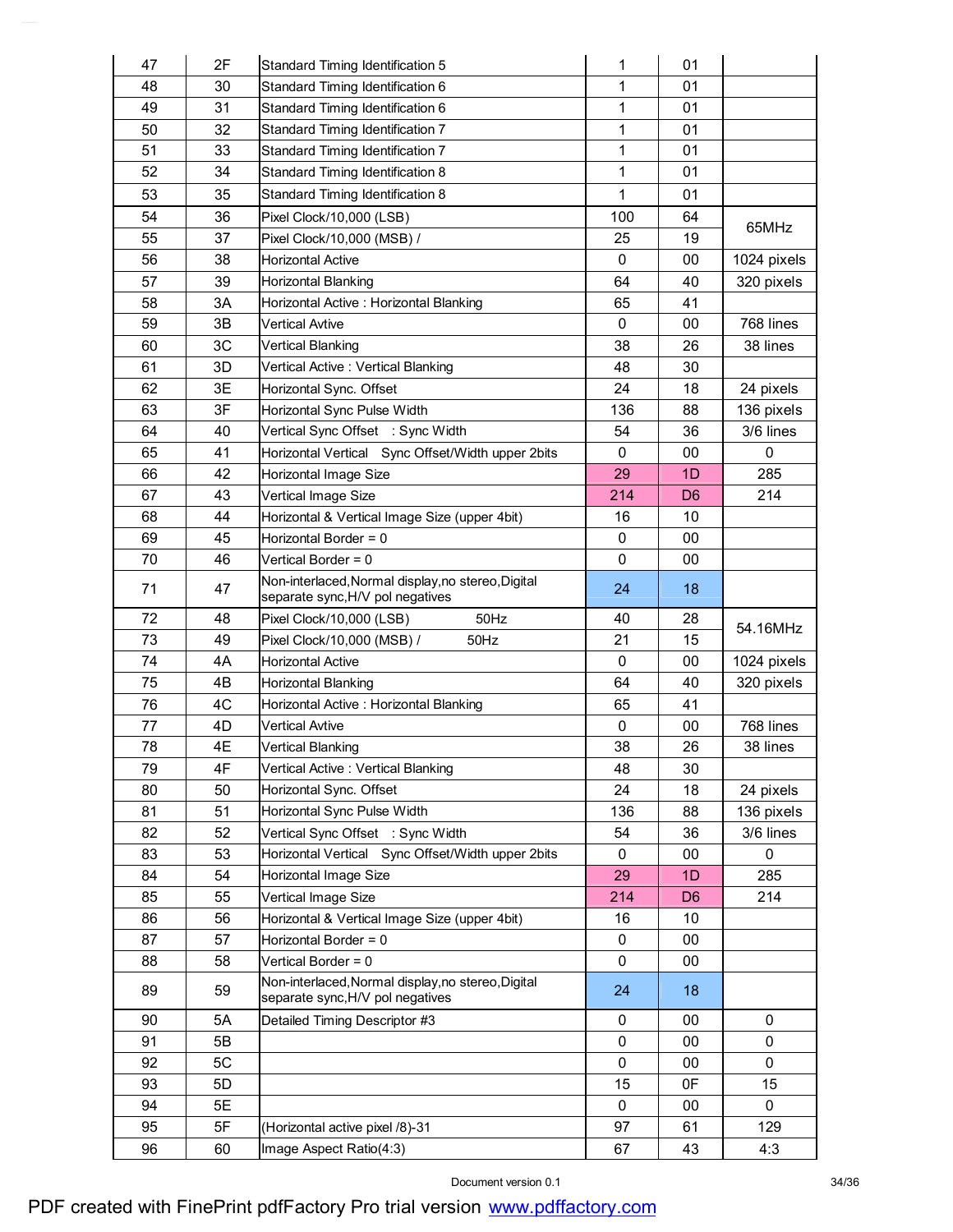| 47       | 2F       | Standard Timing Identification 5                                                       | 1           | 01             |             |
|----------|----------|----------------------------------------------------------------------------------------|-------------|----------------|-------------|
| 48       | 30       | Standard Timing Identification 6                                                       | 1           | 01             |             |
| 49       | 31       | Standard Timing Identification 6                                                       | 1           | 01             |             |
| 50       | 32       | Standard Timing Identification 7                                                       | 1           | 01             |             |
| 51       | 33       | Standard Timing Identification 7                                                       | $\mathbf 1$ | 01             |             |
| 52       | 34       | Standard Timing Identification 8                                                       | 1           | 01             |             |
| 53       | 35       | Standard Timing Identification 8                                                       | 1           | 01             |             |
| 54       | 36       | Pixel Clock/10,000 (LSB)                                                               | 100         | 64             |             |
| 55       | 37       | Pixel Clock/10,000 (MSB) /                                                             | 25          | 19             | 65MHz       |
| 56       | 38       | <b>Horizontal Active</b>                                                               | 0           | 00             | 1024 pixels |
| 57       | 39       | <b>Horizontal Blanking</b>                                                             | 64          | 40             | 320 pixels  |
| 58       | 3A       | Horizontal Active: Horizontal Blanking                                                 | 65          | 41             |             |
| 59       | 3B       | <b>Vertical Avtive</b>                                                                 | 0           | 00             | 768 lines   |
| 60       | 3C       | Vertical Blanking                                                                      | 38          | 26             | 38 lines    |
| 61       | 3D       | Vertical Active: Vertical Blanking                                                     | 48          | 30             |             |
| 62       | 3E       | Horizontal Sync. Offset                                                                | 24          | 18             | 24 pixels   |
| 63       | 3F       | Horizontal Sync Pulse Width                                                            | 136         | 88             | 136 pixels  |
| 64       | 40       | Vertical Sync Offset : Sync Width                                                      | 54          | 36             | 3/6 lines   |
| 65       | 41       | Horizontal Vertical Sync Offset/Width upper 2bits                                      | 0           | 00             | 0           |
| 66       | 42       | Horizontal Image Size                                                                  | 29          | 1D             | 285         |
| 67       | 43       | Vertical Image Size                                                                    | 214         | D <sub>6</sub> | 214         |
| 68       | 44       | Horizontal & Vertical Image Size (upper 4bit)                                          | 16          | 10             |             |
| 69       | 45       | Horizontal Border = 0                                                                  | 0           | 00             |             |
| 70       | 46       | Vertical Border = 0                                                                    | 0           | 00             |             |
| 71       | 47       | Non-interlaced, Normal display, no stereo, Digital<br>separate sync, H/V pol negatives | 24          | 18             |             |
|          |          |                                                                                        |             |                |             |
| 72       | 48       | Pixel Clock/10,000 (LSB)<br>50Hz                                                       | 40          | 28             |             |
| 73       | 49       | 50Hz<br>Pixel Clock/10,000 (MSB) /                                                     | 21          | 15             | 54.16MHz    |
| 74       | 4A       | <b>Horizontal Active</b>                                                               | 0           | 00             | 1024 pixels |
| 75       | 4B       | <b>Horizontal Blanking</b>                                                             | 64          | 40             | 320 pixels  |
| 76       | 4C       | Horizontal Active: Horizontal Blanking                                                 | 65          | 41             |             |
| 77       | 4D       | Vertical Avtive                                                                        | 0           | 00             | 768 lines   |
| 78       | 4E       | Vertical Blanking                                                                      | 38          | 26             | 38 lines    |
| 79       | 4F       | Vertical Active: Vertical Blanking                                                     | 48          | 30             |             |
| 80       | 50       | Horizontal Sync. Offset                                                                | 24          | 18             | 24 pixels   |
| 81       | 51       | Horizontal Sync Pulse Width                                                            | 136         | 88             | 136 pixels  |
| 82       | 52       | Vertical Sync Offset : Sync Width                                                      | 54          | 36             | 3/6 lines   |
| 83       | 53       | Horizontal Vertical Sync Offset/Width upper 2bits                                      | 0           | 00             | 0           |
| 84       | 54       | Horizontal Image Size                                                                  | 29          | 1D             | 285         |
| 85       | 55       | Vertical Image Size                                                                    | 214         | D <sub>6</sub> | 214         |
| 86       | 56       | Horizontal & Vertical Image Size (upper 4bit)                                          | 16          | 10             |             |
| 87       | 57       | Horizontal Border = $0$                                                                | 0           | $00\,$         |             |
| 88       | 58       | Vertical Border = 0                                                                    | 0           | 00             |             |
| 89       | 59       | Non-interlaced, Normal display, no stereo, Digital<br>separate sync, H/V pol negatives | 24          | 18             |             |
| 90       | 5A       | Detailed Timing Descriptor #3                                                          | 0           | 00             | 0           |
| 91       | 5B       |                                                                                        | 0           | 00             | 0           |
| 92       | 5C       |                                                                                        | 0           | 00             | 0           |
| 93       | 5D       |                                                                                        | 15          | 0F             | 15          |
| 94       | 5E       |                                                                                        | 0           | 00             | 0           |
| 95<br>96 | 5F<br>60 | (Horizontal active pixel /8)-31                                                        | 97          | 61<br>43       | 129<br>4:3  |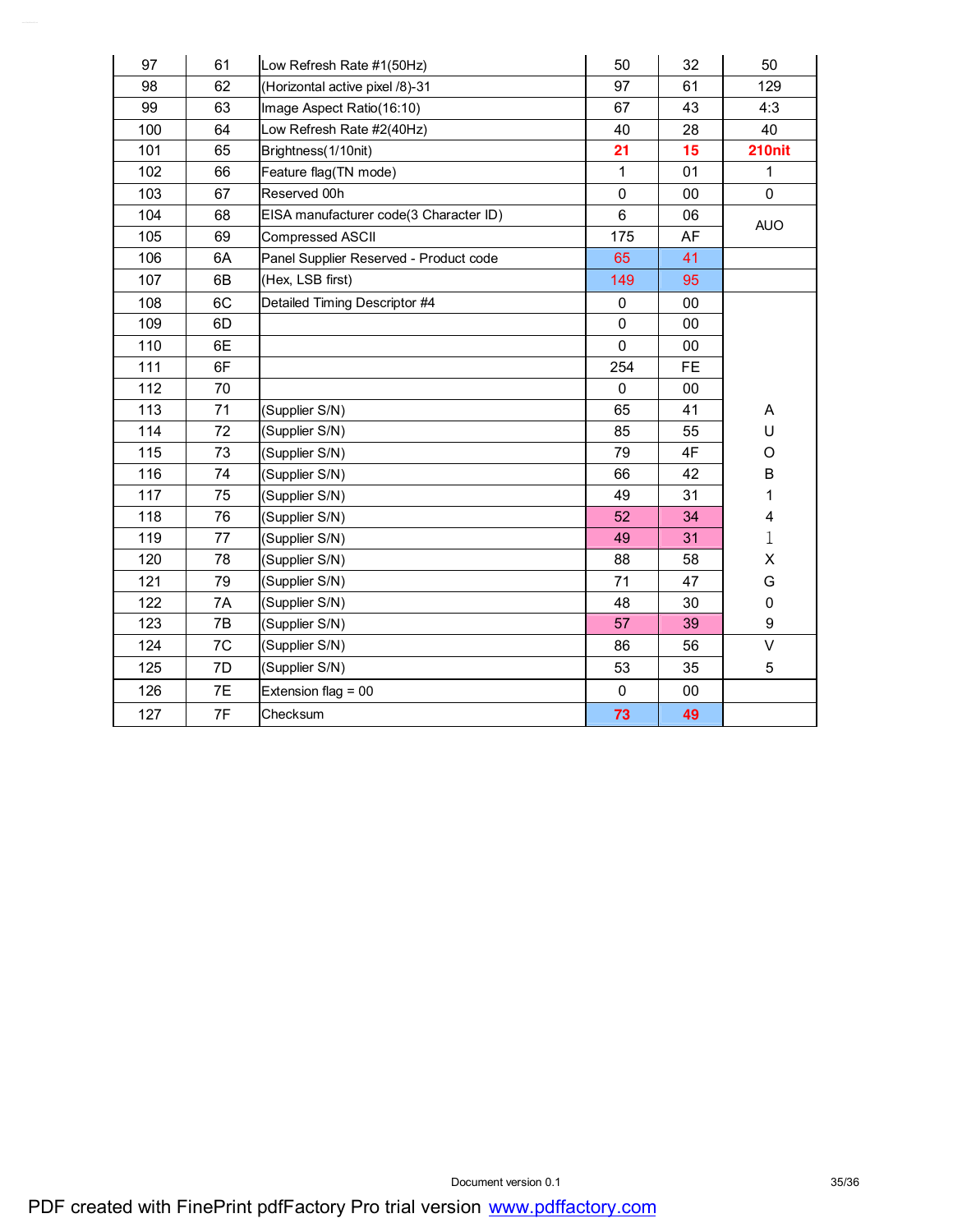| 97  | 61 | Low Refresh Rate #1(50Hz)              | 50           | 32        | 50          |
|-----|----|----------------------------------------|--------------|-----------|-------------|
| 98  | 62 | (Horizontal active pixel /8)-31        | 97           | 61        | 129         |
| 99  | 63 | Image Aspect Ratio(16:10)              | 67           | 43        | 4:3         |
| 100 | 64 | Low Refresh Rate #2(40Hz)              | 40           | 28        | 40          |
| 101 | 65 | Brightness(1/10nit)                    | 21           | 15        | 210nit      |
| 102 | 66 | Feature flag(TN mode)                  | 1            | 01        | 1           |
| 103 | 67 | Reserved 00h                           | $\mathbf 0$  | 00        | $\Omega$    |
| 104 | 68 | EISA manufacturer code(3 Character ID) | 6            | 06        | <b>AUO</b>  |
| 105 | 69 | Compressed ASCII                       | 175          | AF        |             |
| 106 | 6A | Panel Supplier Reserved - Product code | 65           | 41        |             |
| 107 | 6B | (Hex, LSB first)                       | 149          | 95        |             |
| 108 | 6C | Detailed Timing Descriptor #4          | $\mathbf 0$  | 00        |             |
| 109 | 6D |                                        | $\pmb{0}$    | 00        |             |
| 110 | 6E |                                        | $\Omega$     | 00        |             |
| 111 | 6F |                                        | 254          | <b>FE</b> |             |
| 112 | 70 |                                        | $\mathbf{0}$ | 00        |             |
| 113 | 71 | (Supplier S/N)                         | 65           | 41        | Α           |
| 114 | 72 | (Supplier S/N)                         | 85           | 55        | U           |
| 115 | 73 | (Supplier S/N)                         | 79           | 4F        | O           |
| 116 | 74 | (Supplier S/N)                         | 66           | 42        | $\sf B$     |
| 117 | 75 | (Supplier S/N)                         | 49           | 31        | 1           |
| 118 | 76 | (Supplier S/N)                         | 52           | 34        | 4           |
| 119 | 77 | (Supplier S/N)                         | 49           | 31        | $\mathbf 1$ |
| 120 | 78 | (Supplier S/N)                         | 88           | 58        | X           |
| 121 | 79 | (Supplier S/N)                         | 71           | 47        | G           |
| 122 | 7A | (Supplier S/N)                         | 48           | 30        | 0           |
| 123 | 7B | (Supplier S/N)                         | 57           | 39        | 9           |
| 124 | 7C | (Supplier S/N)                         | 86           | 56        | $\vee$      |
| 125 | 7D | (Supplier S/N)                         | 53           | 35        | 5           |
| 126 | 7E | Extension flag = 00                    | $\mathbf 0$  | 00        |             |
| 127 | 7F | Checksum                               | 73           | 49        |             |